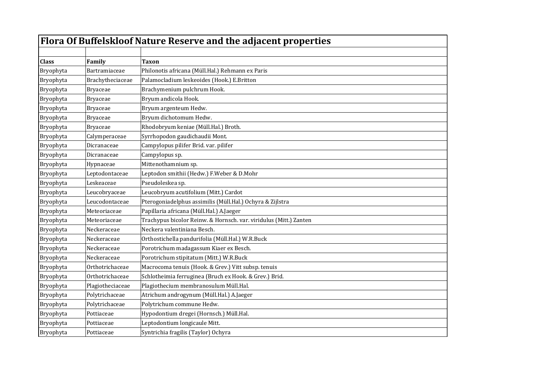| Flora Of Buffelskloof Nature Reserve and the adjacent properties |                  |                                                                   |
|------------------------------------------------------------------|------------------|-------------------------------------------------------------------|
|                                                                  |                  |                                                                   |
| <b>Class</b>                                                     | Family           | <b>Taxon</b>                                                      |
| Bryophyta                                                        | Bartramiaceae    | Philonotis africana (Müll.Hal.) Rehmann ex Paris                  |
| Bryophyta                                                        | Brachytheciaceae | Palamocladium leskeoides (Hook.) E.Britton                        |
| Bryophyta                                                        | <b>Bryaceae</b>  | Brachymenium pulchrum Hook.                                       |
| Bryophyta                                                        | Bryaceae         | Bryum andicola Hook.                                              |
| Bryophyta                                                        | <b>Bryaceae</b>  | Bryum argenteum Hedw.                                             |
| Bryophyta                                                        | <b>Bryaceae</b>  | Bryum dichotomum Hedw.                                            |
| Bryophyta                                                        | <b>Bryaceae</b>  | Rhodobryum keniae (Müll.Hal.) Broth.                              |
| Bryophyta                                                        | Calymperaceae    | Syrrhopodon gaudichaudii Mont.                                    |
| Bryophyta                                                        | Dicranaceae      | Campylopus pilifer Brid. var. pilifer                             |
| Bryophyta                                                        | Dicranaceae      | Campylopus sp.                                                    |
| Bryophyta                                                        | Hypnaceae        | Mittenothamnium sp.                                               |
| Bryophyta                                                        | Leptodontaceae   | Leptodon smithii (Hedw.) F.Weber & D.Mohr                         |
| Bryophyta                                                        | Leskeaceae       | Pseudoleskea sp.                                                  |
| Bryophyta                                                        | Leucobryaceae    | Leucobryum acutifolium (Mitt.) Cardot                             |
| Bryophyta                                                        | Leucodontaceae   | Pterogoniadelphus assimilis (Müll.Hal.) Ochyra & Zijlstra         |
| Bryophyta                                                        | Meteoriaceae     | Papillaria africana (Müll.Hal.) A.Jaeger                          |
| Bryophyta                                                        | Meteoriaceae     | Trachypus bicolor Reinw. & Hornsch. var. viridulus (Mitt.) Zanten |
| Bryophyta                                                        | Neckeraceae      | Neckera valentiniana Besch.                                       |
| Bryophyta                                                        | Neckeraceae      | Orthostichella pandurifolia (Müll.Hal.) W.R.Buck                  |
| Bryophyta                                                        | Neckeraceae      | Porotrichum madagassum Kiaer ex Besch.                            |
| Bryophyta                                                        | Neckeraceae      | Porotrichum stipitatum (Mitt.) W.R.Buck                           |
| Bryophyta                                                        | Orthotrichaceae  | Macrocoma tenuis (Hook. & Grev.) Vitt subsp. tenuis               |
| Bryophyta                                                        | Orthotrichaceae  | Schlotheimia ferruginea (Bruch ex Hook. & Grev.) Brid.            |
| Bryophyta                                                        | Plagiotheciaceae | Plagiothecium membranosulum Müll.Hal.                             |
| Bryophyta                                                        | Polytrichaceae   | Atrichum androgynum (Müll.Hal.) A.Jaeger                          |
| Bryophyta                                                        | Polytrichaceae   | Polytrichum commune Hedw.                                         |
| Bryophyta                                                        | Pottiaceae       | Hypodontium dregei (Hornsch.) Müll.Hal.                           |
| Bryophyta                                                        | Pottiaceae       | Leptodontium longicaule Mitt.                                     |
| Bryophyta                                                        | Pottiaceae       | Syntrichia fragilis (Taylor) Ochyra                               |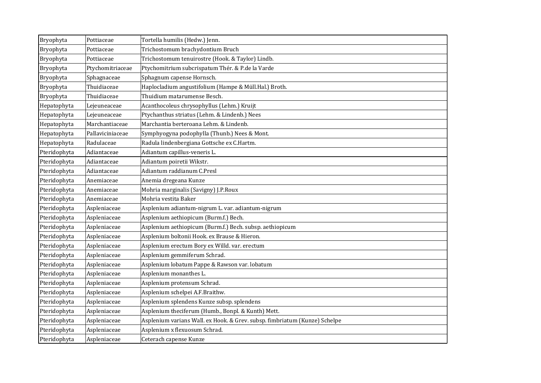| Bryophyta    | Pottiaceae       | Tortella humilis (Hedw.) Jenn.                                             |
|--------------|------------------|----------------------------------------------------------------------------|
| Bryophyta    | Pottiaceae       | Trichostomum brachydontium Bruch                                           |
| Bryophyta    | Pottiaceae       | Trichostomum tenuirostre (Hook. & Taylor) Lindb.                           |
| Bryophyta    | Ptychomitriaceae | Ptychomitrium subcrispatum Thér. & P.de la Varde                           |
| Bryophyta    | Sphagnaceae      | Sphagnum capense Hornsch.                                                  |
| Bryophyta    | Thuidiaceae      | Haplocladium angustifolium (Hampe & Müll.Hal.) Broth.                      |
| Bryophyta    | Thuidiaceae      | Thuidium matarumense Besch.                                                |
| Hepatophyta  | Lejeuneaceae     | Acanthocoleus chrysophyllus (Lehm.) Kruijt                                 |
| Hepatophyta  | Lejeuneaceae     | Ptychanthus striatus (Lehm. & Lindenb.) Nees                               |
| Hepatophyta  | Marchantiaceae   | Marchantia berteroana Lehm. & Lindenb.                                     |
| Hepatophyta  | Pallaviciniaceae | Symphyogyna podophylla (Thunb.) Nees & Mont.                               |
| Hepatophyta  | Radulaceae       | Radula lindenbergiana Gottsche ex C.Hartm.                                 |
| Pteridophyta | Adiantaceae      | Adiantum capillus-veneris L.                                               |
| Pteridophyta | Adiantaceae      | Adiantum poiretii Wikstr.                                                  |
| Pteridophyta | Adiantaceae      | Adiantum raddianum C.Presl                                                 |
| Pteridophyta | Anemiaceae       | Anemia dregeana Kunze                                                      |
| Pteridophyta | Anemiaceae       | Mohria marginalis (Savigny) J.P.Roux                                       |
| Pteridophyta | Anemiaceae       | Mohria vestita Baker                                                       |
| Pteridophyta | Aspleniaceae     | Asplenium adiantum-nigrum L. var. adiantum-nigrum                          |
| Pteridophyta | Aspleniaceae     | Asplenium aethiopicum (Burm.f.) Bech.                                      |
| Pteridophyta | Aspleniaceae     | Asplenium aethiopicum (Burm.f.) Bech. subsp. aethiopicum                   |
| Pteridophyta | Aspleniaceae     | Asplenium boltonii Hook. ex Brause & Hieron.                               |
| Pteridophyta | Aspleniaceae     | Asplenium erectum Bory ex Willd. var. erectum                              |
| Pteridophyta | Aspleniaceae     | Asplenium gemmiferum Schrad.                                               |
| Pteridophyta | Aspleniaceae     | Asplenium lobatum Pappe & Rawson var. lobatum                              |
| Pteridophyta | Aspleniaceae     | Asplenium monanthes L.                                                     |
| Pteridophyta | Aspleniaceae     | Asplenium protensum Schrad.                                                |
| Pteridophyta | Aspleniaceae     | Asplenium schelpei A.F.Braithw.                                            |
| Pteridophyta | Aspleniaceae     | Asplenium splendens Kunze subsp. splendens                                 |
| Pteridophyta | Aspleniaceae     | Asplenium theciferum (Humb., Bonpl. & Kunth) Mett.                         |
| Pteridophyta | Aspleniaceae     | Asplenium varians Wall. ex Hook. & Grev. subsp. fimbriatum (Kunze) Schelpe |
| Pteridophyta | Aspleniaceae     | Asplenium x flexuosum Schrad.                                              |
| Pteridophyta | Aspleniaceae     | Ceterach capense Kunze                                                     |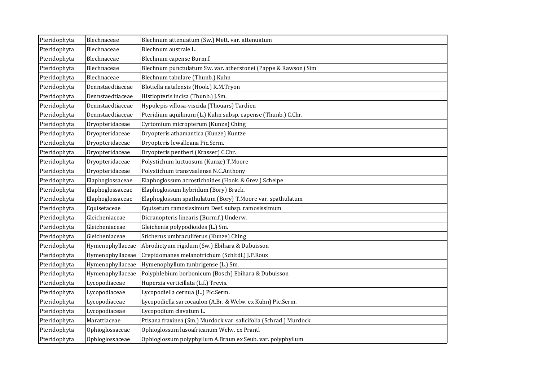| Pteridophyta | Blechnaceae      | Blechnum attenuatum (Sw.) Mett. var. attenuatum                   |
|--------------|------------------|-------------------------------------------------------------------|
| Pteridophyta | Blechnaceae      | Blechnum australe L.                                              |
| Pteridophyta | Blechnaceae      | Blechnum capense Burm.f.                                          |
| Pteridophyta | Blechnaceae      | Blechnum punctulatum Sw. var. atherstonei (Pappe & Rawson) Sim    |
| Pteridophyta | Blechnaceae      | Blechnum tabulare (Thunb.) Kuhn                                   |
| Pteridophyta | Dennstaedtiaceae | Blotiella natalensis (Hook.) R.M.Tryon                            |
| Pteridophyta | Dennstaedtiaceae | Histiopteris incisa (Thunb.) J.Sm.                                |
| Pteridophyta | Dennstaedtiaceae | Hypolepis villosa-viscida (Thouars) Tardieu                       |
| Pteridophyta | Dennstaedtiaceae | Pteridium aquilinum (L.) Kuhn subsp. capense (Thunb.) C.Chr.      |
| Pteridophyta | Dryopteridaceae  | Cyrtomium micropterum (Kunze) Ching                               |
| Pteridophyta | Dryopteridaceae  | Dryopteris athamantica (Kunze) Kuntze                             |
| Pteridophyta | Dryopteridaceae  | Dryopteris lewalleana Pic.Serm.                                   |
| Pteridophyta | Dryopteridaceae  | Dryopteris pentheri (Krasser) C.Chr.                              |
| Pteridophyta | Dryopteridaceae  | Polystichum luctuosum (Kunze) T.Moore                             |
| Pteridophyta | Dryopteridaceae  | Polystichum transvaalense N.C.Anthony                             |
| Pteridophyta | Elaphoglossaceae | Elaphoglossum acrostichoides (Hook. & Grev.) Schelpe              |
| Pteridophyta | Elaphoglossaceae | Elaphoglossum hybridum (Bory) Brack.                              |
| Pteridophyta | Elaphoglossaceae | Elaphoglossum spathulatum (Bory) T.Moore var. spathulatum         |
| Pteridophyta | Equisetaceae     | Equisetum ramosissimum Desf. subsp. ramosissimum                  |
| Pteridophyta | Gleicheniaceae   | Dicranopteris linearis (Burm.f.) Underw.                          |
| Pteridophyta | Gleicheniaceae   | Gleichenia polypodioides (L.) Sm.                                 |
| Pteridophyta | Gleicheniaceae   | Sticherus umbraculiferus (Kunze) Ching                            |
| Pteridophyta | Hymenophyllaceae | Abrodictyum rigidum (Sw.) Ebihara & Dubuisson                     |
| Pteridophyta | Hymenophyllaceae | Crepidomanes melanotrichum (Schltdl.) J.P.Roux                    |
| Pteridophyta | Hymenophyllaceae | Hymenophyllum tunbrigense (L.) Sm.                                |
| Pteridophyta | Hymenophyllaceae | Polyphlebium borbonicum (Bosch) Ebihara & Dubuisson               |
| Pteridophyta | Lycopodiaceae    | Huperzia verticillata (L.f.) Trevis.                              |
| Pteridophyta | Lycopodiaceae    | Lycopodiella cernua (L.) Pic.Serm.                                |
| Pteridophyta | Lycopodiaceae    | Lycopodiella sarcocaulon (A.Br. & Welw. ex Kuhn) Pic.Serm.        |
| Pteridophyta | Lycopodiaceae    | Lycopodium clavatum L.                                            |
| Pteridophyta | Marattiaceae     | Ptisana fraxinea (Sm.) Murdock var. salicifolia (Schrad.) Murdock |
| Pteridophyta | Ophioglossaceae  | Ophioglossum lusoafricanum Welw. ex Prantl                        |
| Pteridophyta | Ophioglossaceae  | Ophioglossum polyphyllum A.Braun ex Seub. var. polyphyllum        |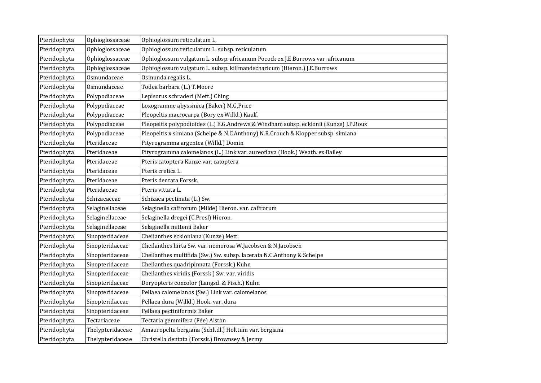| Pteridophyta | Ophioglossaceae  | Ophioglossum reticulatum L.                                                          |
|--------------|------------------|--------------------------------------------------------------------------------------|
| Pteridophyta | Ophioglossaceae  | Ophioglossum reticulatum L. subsp. reticulatum                                       |
| Pteridophyta | Ophioglossaceae  | Ophioglossum vulgatum L. subsp. africanum Pocock ex J.E.Burrows var. africanum       |
| Pteridophyta | Ophioglossaceae  | Ophioglossum vulgatum L. subsp. kilimandscharicum (Hieron.) J.E.Burrows              |
| Pteridophyta | Osmundaceae      | Osmunda regalis L.                                                                   |
| Pteridophyta | Osmundaceae      | Todea barbara (L.) T.Moore                                                           |
| Pteridophyta | Polypodiaceae    | Lepisorus schraderi (Mett.) Ching                                                    |
| Pteridophyta | Polypodiaceae    | Loxogramme abyssinica (Baker) M.G.Price                                              |
| Pteridophyta | Polypodiaceae    | Pleopeltis macrocarpa (Bory ex Willd.) Kaulf.                                        |
| Pteridophyta | Polypodiaceae    | Pleopeltis polypodioides (L.) E.G.Andrews & Windham subsp. ecklonii (Kunze) J.P.Roux |
| Pteridophyta | Polypodiaceae    | Pleopeltis x simiana (Schelpe & N.C.Anthony) N.R.Crouch & Klopper subsp. simiana     |
| Pteridophyta | Pteridaceae      | Pityrogramma argentea (Willd.) Domin                                                 |
| Pteridophyta | Pteridaceae      | Pityrogramma calomelanos (L.) Link var. aureoflava (Hook.) Weath. ex Bailey          |
| Pteridophyta | Pteridaceae      | Pteris catoptera Kunze var. catoptera                                                |
| Pteridophyta | Pteridaceae      | Pteris cretica L.                                                                    |
| Pteridophyta | Pteridaceae      | Pteris dentata Forssk.                                                               |
| Pteridophyta | Pteridaceae      | Pteris vittata L.                                                                    |
| Pteridophyta | Schizaeaceae     | Schizaea pectinata (L.) Sw.                                                          |
| Pteridophyta | Selaginellaceae  | Selaginella caffrorum (Milde) Hieron. var. caffrorum                                 |
| Pteridophyta | Selaginellaceae  | Selaginella dregei (C.Presl) Hieron.                                                 |
| Pteridophyta | Selaginellaceae  | Selaginella mittenii Baker                                                           |
| Pteridophyta | Sinopteridaceae  | Cheilanthes eckloniana (Kunze) Mett.                                                 |
| Pteridophyta | Sinopteridaceae  | Cheilanthes hirta Sw. var. nemorosa W.Jacobsen & N.Jacobsen                          |
| Pteridophyta | Sinopteridaceae  | Cheilanthes multifida (Sw.) Sw. subsp. lacerata N.C.Anthony & Schelpe                |
| Pteridophyta | Sinopteridaceae  | Cheilanthes quadripinnata (Forssk.) Kuhn                                             |
| Pteridophyta | Sinopteridaceae  | Cheilanthes viridis (Forssk.) Sw. var. viridis                                       |
| Pteridophyta | Sinopteridaceae  | Doryopteris concolor (Langsd. & Fisch.) Kuhn                                         |
| Pteridophyta | Sinopteridaceae  | Pellaea calomelanos (Sw.) Link var. calomelanos                                      |
| Pteridophyta | Sinopteridaceae  | Pellaea dura (Willd.) Hook. var. dura                                                |
| Pteridophyta | Sinopteridaceae  | Pellaea pectiniformis Baker                                                          |
| Pteridophyta | Tectariaceae     | Tectaria gemmifera (Fée) Alston                                                      |
| Pteridophyta | Thelypteridaceae | Amauropelta bergiana (Schltdl.) Holttum var. bergiana                                |
| Pteridophyta | Thelypteridaceae | Christella dentata (Forssk.) Brownsey & Jermy                                        |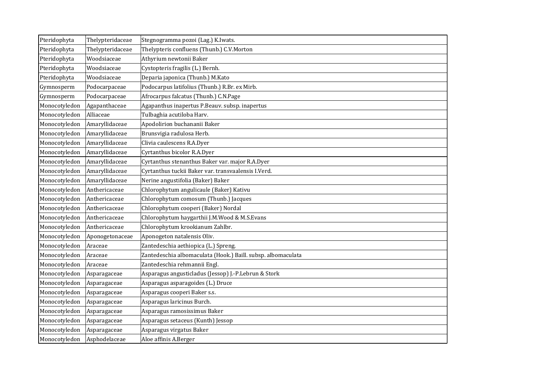| Pteridophyta  | Thelypteridaceae | Stegnogramma pozoi (Lag.) K.Iwats.                           |
|---------------|------------------|--------------------------------------------------------------|
| Pteridophyta  | Thelypteridaceae | Thelypteris confluens (Thunb.) C.V.Morton                    |
| Pteridophyta  | Woodsiaceae      | Athyrium newtonii Baker                                      |
| Pteridophyta  | Woodsiaceae      | Cystopteris fragilis (L.) Bernh.                             |
| Pteridophyta  | Woodsiaceae      | Deparia japonica (Thunb.) M.Kato                             |
| Gymnosperm    | Podocarpaceae    | Podocarpus latifolius (Thunb.) R.Br. ex Mirb.                |
| Gymnosperm    | Podocarpaceae    | Afrocarpus falcatus (Thunb.) C.N.Page                        |
| Monocotyledon | Agapanthaceae    | Agapanthus inapertus P.Beauv. subsp. inapertus               |
| Monocotyledon | Alliaceae        | Tulbaghia acutiloba Harv.                                    |
| Monocotyledon | Amaryllidaceae   | Apodolirion buchananii Baker                                 |
| Monocotyledon | Amaryllidaceae   | Brunsvigia radulosa Herb.                                    |
| Monocotyledon | Amaryllidaceae   | Clivia caulescens R.A.Dyer                                   |
| Monocotyledon | Amaryllidaceae   | Cyrtanthus bicolor R.A.Dyer                                  |
| Monocotyledon | Amaryllidaceae   | Cyrtanthus stenanthus Baker var. major R.A.Dyer              |
| Monocotyledon | Amaryllidaceae   | Cyrtanthus tuckii Baker var. transvaalensis I.Verd.          |
| Monocotyledon | Amaryllidaceae   | Nerine angustifolia (Baker) Baker                            |
| Monocotyledon | Anthericaceae    | Chlorophytum angulicaule (Baker) Kativu                      |
| Monocotyledon | Anthericaceae    | Chlorophytum comosum (Thunb.) Jacques                        |
| Monocotyledon | Anthericaceae    | Chlorophytum cooperi (Baker) Nordal                          |
| Monocotyledon | Anthericaceae    | Chlorophytum haygarthii J.M.Wood & M.S.Evans                 |
| Monocotyledon | Anthericaceae    | Chlorophytum krookianum Zahlbr.                              |
| Monocotyledon | Aponogetonaceae  | Aponogeton natalensis Oliv.                                  |
| Monocotyledon | Araceae          | Zantedeschia aethiopica (L.) Spreng.                         |
| Monocotyledon | Araceae          | Zantedeschia albomaculata (Hook.) Baill. subsp. albomaculata |
| Monocotyledon | Araceae          | Zantedeschia rehmannii Engl.                                 |
| Monocotyledon | Asparagaceae     | Asparagus angusticladus (Jessop) J.-P.Lebrun & Stork         |
| Monocotyledon | Asparagaceae     | Asparagus asparagoides (L.) Druce                            |
| Monocotyledon | Asparagaceae     | Asparagus cooperi Baker s.s.                                 |
| Monocotyledon | Asparagaceae     | Asparagus laricinus Burch.                                   |
| Monocotyledon | Asparagaceae     | Asparagus ramosissimus Baker                                 |
| Monocotyledon | Asparagaceae     | Asparagus setaceus (Kunth) Jessop                            |
| Monocotyledon | Asparagaceae     | Asparagus virgatus Baker                                     |
| Monocotyledon | Asphodelaceae    | Aloe affinis A.Berger                                        |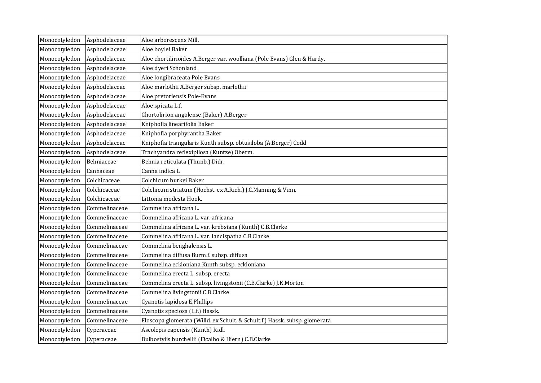| Monocotyledon | Asphodelaceae | Aloe arborescens Mill.                                                     |
|---------------|---------------|----------------------------------------------------------------------------|
| Monocotyledon | Asphodelaceae | Aloe boylei Baker                                                          |
| Monocotyledon | Asphodelaceae | Aloe chortilirioides A.Berger var. woolliana (Pole Evans) Glen & Hardy.    |
| Monocotyledon | Asphodelaceae | Aloe dyeri Schonland                                                       |
| Monocotyledon | Asphodelaceae | Aloe longibraceata Pole Evans                                              |
| Monocotyledon | Asphodelaceae | Aloe marlothii A.Berger subsp. marlothii                                   |
| Monocotyledon | Asphodelaceae | Aloe pretoriensis Pole-Evans                                               |
| Monocotyledon | Asphodelaceae | Aloe spicata L.f.                                                          |
| Monocotyledon | Asphodelaceae | Chortolirion angolense (Baker) A.Berger                                    |
| Monocotyledon | Asphodelaceae | Kniphofia linearifolia Baker                                               |
| Monocotyledon | Asphodelaceae | Kniphofia porphyrantha Baker                                               |
| Monocotyledon | Asphodelaceae | Kniphofia triangularis Kunth subsp. obtusiloba (A.Berger) Codd             |
| Monocotyledon | Asphodelaceae | Trachyandra reflexipilosa (Kuntze) Oberm.                                  |
| Monocotyledon | Behniaceae    | Behnia reticulata (Thunb.) Didr.                                           |
| Monocotyledon | Cannaceae     | Canna indica L.                                                            |
| Monocotyledon | Colchicaceae  | Colchicum burkei Baker                                                     |
| Monocotyledon | Colchicaceae  | Colchicum striatum (Hochst. ex A.Rich.) J.C.Manning & Vinn.                |
| Monocotyledon | Colchicaceae  | Littonia modesta Hook.                                                     |
| Monocotyledon | Commelinaceae | Commelina africana L.                                                      |
| Monocotyledon | Commelinaceae | Commelina africana L. var. africana                                        |
| Monocotyledon | Commelinaceae | Commelina africana L. var. krebsiana (Kunth) C.B.Clarke                    |
| Monocotyledon | Commelinaceae | Commelina africana L. var. lancispatha C.B.Clarke                          |
| Monocotyledon | Commelinaceae | Commelina benghalensis L.                                                  |
| Monocotyledon | Commelinaceae | Commelina diffusa Burm.f. subsp. diffusa                                   |
| Monocotyledon | Commelinaceae | Commelina eckloniana Kunth subsp. eckloniana                               |
| Monocotyledon | Commelinaceae | Commelina erecta L. subsp. erecta                                          |
| Monocotyledon | Commelinaceae | Commelina erecta L. subsp. livingstonii (C.B.Clarke) J.K.Morton            |
| Monocotyledon | Commelinaceae | Commelina livingstonii C.B.Clarke                                          |
| Monocotyledon | Commelinaceae | Cyanotis lapidosa E.Phillips                                               |
| Monocotyledon | Commelinaceae | Cyanotis speciosa (L.f.) Hassk.                                            |
| Monocotyledon | Commelinaceae | Floscopa glomerata (Willd. ex Schult. & Schult.f.) Hassk. subsp. glomerata |
| Monocotyledon | Cyperaceae    | Ascolepis capensis (Kunth) Ridl.                                           |
| Monocotyledon | Cyperaceae    | Bulbostylis burchellii (Ficalho & Hiern) C.B.Clarke                        |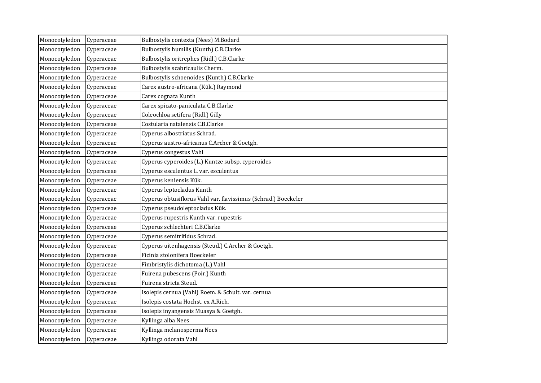| Monocotyledon | Cyperaceae | Bulbostylis contexta (Nees) M.Bodard                           |
|---------------|------------|----------------------------------------------------------------|
| Monocotyledon | Cyperaceae | Bulbostylis humilis (Kunth) C.B.Clarke                         |
| Monocotyledon | Cyperaceae | Bulbostylis oritrephes (Ridl.) C.B.Clarke                      |
| Monocotyledon | Cyperaceae | Bulbostylis scabricaulis Cherm.                                |
| Monocotyledon | Cyperaceae | Bulbostylis schoenoides (Kunth) C.B.Clarke                     |
| Monocotyledon | Cyperaceae | Carex austro-africana (Kük.) Raymond                           |
| Monocotyledon | Cyperaceae | Carex cognata Kunth                                            |
| Monocotyledon | Cyperaceae | Carex spicato-paniculata C.B.Clarke                            |
| Monocotyledon | Cyperaceae | Coleochloa setifera (Ridl.) Gilly                              |
| Monocotyledon | Cyperaceae | Costularia natalensis C.B.Clarke                               |
| Monocotyledon | Cyperaceae | Cyperus albostriatus Schrad.                                   |
| Monocotyledon | Cyperaceae | Cyperus austro-africanus C.Archer & Goetgh.                    |
| Monocotyledon | Cyperaceae | Cyperus congestus Vahl                                         |
| Monocotyledon | Cyperaceae | Cyperus cyperoides (L.) Kuntze subsp. cyperoides               |
| Monocotyledon | Cyperaceae | Cyperus esculentus L. var. esculentus                          |
| Monocotyledon | Cyperaceae | Cyperus keniensis Kük.                                         |
| Monocotyledon | Cyperaceae | Cyperus leptocladus Kunth                                      |
| Monocotyledon | Cyperaceae | Cyperus obtusiflorus Vahl var. flavissimus (Schrad.) Boeckeler |
| Monocotyledon | Cyperaceae | Cyperus pseudoleptocladus Kük.                                 |
| Monocotyledon | Cyperaceae | Cyperus rupestris Kunth var. rupestris                         |
| Monocotyledon | Cyperaceae | Cyperus schlechteri C.B.Clarke                                 |
| Monocotyledon | Cyperaceae | Cyperus semitrifidus Schrad.                                   |
| Monocotyledon | Cyperaceae | Cyperus uitenhagensis (Steud.) C.Archer & Goetgh.              |
| Monocotyledon | Cyperaceae | Ficinia stolonifera Boeckeler                                  |
| Monocotyledon | Cyperaceae | Fimbristylis dichotoma (L.) Vahl                               |
| Monocotyledon | Cyperaceae | Fuirena pubescens (Poir.) Kunth                                |
| Monocotyledon | Cyperaceae | Fuirena stricta Steud.                                         |
| Monocotyledon | Cyperaceae | Isolepis cernua (Vahl) Roem. & Schult. var. cernua             |
| Monocotyledon | Cyperaceae | Isolepis costata Hochst. ex A.Rich.                            |
| Monocotyledon | Cyperaceae | Isolepis inyangensis Muasya & Goetgh.                          |
| Monocotyledon | Cyperaceae | Kyllinga alba Nees                                             |
| Monocotyledon | Cyperaceae | Kyllinga melanosperma Nees                                     |
| Monocotyledon | Cyperaceae | Kyllinga odorata Vahl                                          |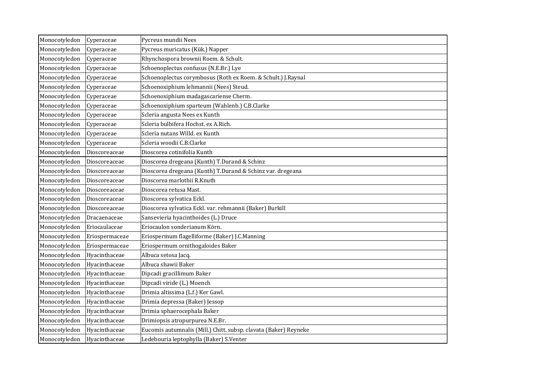| Monocotyledon | Cyperaceae     | Pycreus mundii Nees                                              |
|---------------|----------------|------------------------------------------------------------------|
| Monocotyledon | Cyperaceae     | Pycreus muricatus (Kük.) Napper                                  |
| Monocotyledon | Cyperaceae     | Rhynchospora brownii Roem. & Schult.                             |
| Monocotyledon | Cyperaceae     | Schoenoplectus confusus (N.E.Br.) Lye                            |
| Monocotyledon | Cyperaceae     | Schoenoplectus corymbosus (Roth ex Roem. & Schult.) J.Raynal     |
| Monocotyledon | Cyperaceae     | Schoenoxiphium lehmannii (Nees) Steud.                           |
| Monocotyledon | Cyperaceae     | Schoenoxiphium madagascariense Cherm.                            |
| Monocotyledon | Cyperaceae     | Schoenoxiphium sparteum (Wahlenb.) C.B.Clarke                    |
| Monocotyledon | Cyperaceae     | Scleria angusta Nees ex Kunth                                    |
| Monocotyledon | Cyperaceae     | Scleria bulbifera Hochst. ex A.Rich.                             |
| Monocotyledon | Cyperaceae     | Scleria nutans Willd. ex Kunth                                   |
| Monocotyledon | Cyperaceae     | Scleria woodii C.B.Clarke                                        |
| Monocotyledon | Dioscoreaceae  | Dioscorea cotinifolia Kunth                                      |
| Monocotyledon | Dioscoreaceae  | Dioscorea dregeana (Kunth) T.Durand & Schinz                     |
| Monocotyledon | Dioscoreaceae  | Dioscorea dregeana (Kunth) T.Durand & Schinz var. dregeana       |
| Monocotyledon | Dioscoreaceae  | Dioscorea marlothii R.Knuth                                      |
| Monocotyledon | Dioscoreaceae  | Dioscorea retusa Mast.                                           |
| Monocotyledon | Dioscoreaceae  | Dioscorea sylvatica Eckl.                                        |
| Monocotyledon | Dioscoreaceae  | Dioscorea sylvatica Eckl. var. rehmannii (Baker) Burkill         |
| Monocotyledon | Dracaenaceae   | Sansevieria hyacinthoides (L.) Druce                             |
| Monocotyledon | Eriocaulaceae  | Eriocaulon sonderianum Körn.                                     |
| Monocotyledon | Eriospermaceae | Eriospermum flagelliforme (Baker) J.C.Manning                    |
| Monocotyledon | Eriospermaceae | Eriospermum ornithogaloides Baker                                |
| Monocotyledon | Hyacinthaceae  | Albuca setosa Jacq.                                              |
| Monocotyledon | Hyacinthaceae  | Albuca shawii Baker                                              |
| Monocotyledon | Hyacinthaceae  | Dipcadi gracillimum Baker                                        |
| Monocotyledon | Hyacinthaceae  | Dipcadi viride (L.) Moench                                       |
| Monocotyledon | Hyacinthaceae  | Drimia altissima (L.f.) Ker Gawl.                                |
| Monocotyledon | Hyacinthaceae  | Drimia depressa (Baker) Jessop                                   |
| Monocotyledon | Hyacinthaceae  | Drimia sphaerocephala Baker                                      |
| Monocotyledon | Hyacinthaceae  | Drimiopsis atropurpurea N.E.Br.                                  |
| Monocotyledon | Hyacinthaceae  | Eucomis autumnalis (Mill.) Chitt. subsp. clavata (Baker) Reyneke |
| Monocotyledon | Hyacinthaceae  | Ledebouria leptophylla (Baker) S.Venter                          |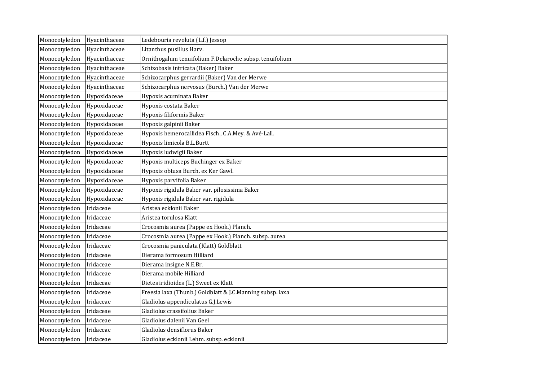| Monocotyledon | Hyacinthaceae | Ledebouria revoluta (L.f.) Jessop                         |
|---------------|---------------|-----------------------------------------------------------|
| Monocotyledon | Hyacinthaceae | Litanthus pusillus Harv.                                  |
| Monocotyledon | Hyacinthaceae | Ornithogalum tenuifolium F.Delaroche subsp. tenuifolium   |
| Monocotyledon | Hyacinthaceae | Schizobasis intricata (Baker) Baker                       |
| Monocotyledon | Hyacinthaceae | Schizocarphus gerrardii (Baker) Van der Merwe             |
| Monocotyledon | Hyacinthaceae | Schizocarphus nervosus (Burch.) Van der Merwe             |
| Monocotyledon | Hypoxidaceae  | Hypoxis acuminata Baker                                   |
| Monocotyledon | Hypoxidaceae  | Hypoxis costata Baker                                     |
| Monocotyledon | Hypoxidaceae  | Hypoxis filiformis Baker                                  |
| Monocotyledon | Hypoxidaceae  | Hypoxis galpinii Baker                                    |
| Monocotyledon | Hypoxidaceae  | Hypoxis hemerocallidea Fisch., C.A.Mey. & Avé-Lall.       |
| Monocotyledon | Hypoxidaceae  | Hypoxis limicola B.L.Burtt                                |
| Monocotyledon | Hypoxidaceae  | Hypoxis ludwigii Baker                                    |
| Monocotyledon | Hypoxidaceae  | Hypoxis multiceps Buchinger ex Baker                      |
| Monocotyledon | Hypoxidaceae  | Hypoxis obtusa Burch. ex Ker Gawl.                        |
| Monocotyledon | Hypoxidaceae  | Hypoxis parvifolia Baker                                  |
| Monocotyledon | Hypoxidaceae  | Hypoxis rigidula Baker var. pilosissima Baker             |
| Monocotyledon | Hypoxidaceae  | Hypoxis rigidula Baker var. rigidula                      |
| Monocotyledon | Iridaceae     | Aristea ecklonii Baker                                    |
| Monocotyledon | Iridaceae     | Aristea torulosa Klatt                                    |
| Monocotyledon | Iridaceae     | Crocosmia aurea (Pappe ex Hook.) Planch.                  |
| Monocotyledon | Iridaceae     | Crocosmia aurea (Pappe ex Hook.) Planch. subsp. aurea     |
| Monocotyledon | Iridaceae     | Crocosmia paniculata (Klatt) Goldblatt                    |
| Monocotyledon | Iridaceae     | Dierama formosum Hilliard                                 |
| Monocotyledon | Iridaceae     | Dierama insigne N.E.Br.                                   |
| Monocotyledon | Iridaceae     | Dierama mobile Hilliard                                   |
| Monocotyledon | Iridaceae     | Dietes iridioides (L.) Sweet ex Klatt                     |
| Monocotyledon | Iridaceae     | Freesia laxa (Thunb.) Goldblatt & J.C.Manning subsp. laxa |
| Monocotyledon | Iridaceae     | Gladiolus appendiculatus G.J.Lewis                        |
| Monocotyledon | Iridaceae     | Gladiolus crassifolius Baker                              |
| Monocotyledon | Iridaceae     | Gladiolus dalenii Van Geel                                |
| Monocotyledon | Iridaceae     | Gladiolus densiflorus Baker                               |
| Monocotyledon | Iridaceae     | Gladiolus ecklonii Lehm. subsp. ecklonii                  |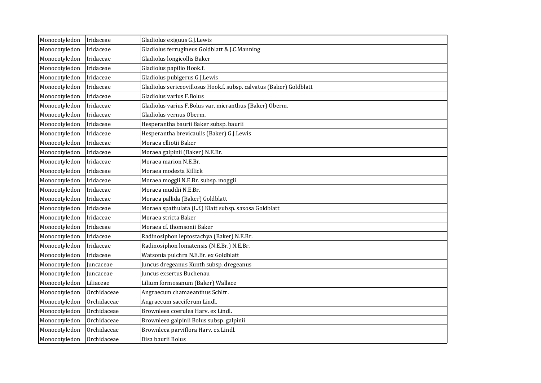| Monocotyledon | Iridaceae   | Gladiolus exiguus G.J.Lewis                                         |
|---------------|-------------|---------------------------------------------------------------------|
| Monocotyledon | Iridaceae   | Gladiolus ferrugineus Goldblatt & J.C.Manning                       |
| Monocotyledon | Iridaceae   | Gladiolus longicollis Baker                                         |
| Monocotyledon | Iridaceae   | Gladiolus papilio Hook.f.                                           |
| Monocotyledon | Iridaceae   | Gladiolus pubigerus G.J.Lewis                                       |
| Monocotyledon | Iridaceae   | Gladiolus sericeovillosus Hook.f. subsp. calvatus (Baker) Goldblatt |
| Monocotyledon | Iridaceae   | Gladiolus varius F.Bolus                                            |
| Monocotyledon | Iridaceae   | Gladiolus varius F.Bolus var. micranthus (Baker) Oberm.             |
| Monocotyledon | Iridaceae   | Gladiolus vernus Oberm.                                             |
| Monocotyledon | Iridaceae   | Hesperantha baurii Baker subsp. baurii                              |
| Monocotyledon | Iridaceae   | Hesperantha brevicaulis (Baker) G.J.Lewis                           |
| Monocotyledon | Iridaceae   | Moraea elliotii Baker                                               |
| Monocotyledon | Iridaceae   | Moraea galpinii (Baker) N.E.Br.                                     |
| Monocotyledon | Iridaceae   | Moraea marion N.E.Br.                                               |
| Monocotyledon | Iridaceae   | Moraea modesta Killick                                              |
| Monocotyledon | Iridaceae   | Moraea moggii N.E.Br. subsp. moggii                                 |
| Monocotyledon | Iridaceae   | Moraea muddii N.E.Br.                                               |
| Monocotyledon | Iridaceae   | Moraea pallida (Baker) Goldblatt                                    |
| Monocotyledon | Iridaceae   | Moraea spathulata (L.f.) Klatt subsp. saxosa Goldblatt              |
| Monocotyledon | Iridaceae   | Moraea stricta Baker                                                |
| Monocotyledon | Iridaceae   | Moraea cf. thomsonii Baker                                          |
| Monocotyledon | Iridaceae   | Radinosiphon leptostachya (Baker) N.E.Br.                           |
| Monocotyledon | Iridaceae   | Radinosiphon lomatensis (N.E.Br.) N.E.Br.                           |
| Monocotyledon | Iridaceae   | Watsonia pulchra N.E.Br. ex Goldblatt                               |
| Monocotyledon | Juncaceae   | Juncus dregeanus Kunth subsp. dregeanus                             |
| Monocotyledon | Juncaceae   | Juncus exsertus Buchenau                                            |
| Monocotyledon | Liliaceae   | Lilium formosanum (Baker) Wallace                                   |
| Monocotyledon | Orchidaceae | Angraecum chamaeanthus Schltr.                                      |
| Monocotyledon | Orchidaceae | Angraecum sacciferum Lindl.                                         |
| Monocotyledon | Orchidaceae | Brownleea coerulea Harv. ex Lindl.                                  |
| Monocotyledon | Orchidaceae | Brownleea galpinii Bolus subsp. galpinii                            |
| Monocotyledon | Orchidaceae | Brownleea parviflora Harv. ex Lindl.                                |
| Monocotyledon | Orchidaceae | Disa baurii Bolus                                                   |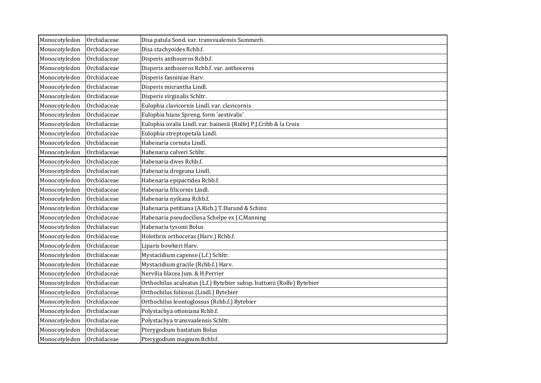| Monocotyledon | Orchidaceae | Disa patula Sond. var. transvaalensis Summerh.                         |
|---------------|-------------|------------------------------------------------------------------------|
| Monocotyledon | Orchidaceae | Disa stachyoides Rchb.f.                                               |
| Monocotyledon | Orchidaceae | Disperis anthoceros Rchb.f.                                            |
| Monocotyledon | Orchidaceae | Disperis anthoceros Rchb.f. var. anthoceros                            |
| Monocotyledon | Orchidaceae | Disperis fanniniae Harv.                                               |
| Monocotyledon | Orchidaceae | Disperis micrantha Lindl.                                              |
| Monocotyledon | Orchidaceae | Disperis virginalis Schltr.                                            |
| Monocotyledon | Orchidaceae | Eulophia clavicornis Lindl. var. clavicornis                           |
| Monocotyledon | Orchidaceae | Eulophia hians Spreng. form 'aestivalis'                               |
| Monocotyledon | Orchidaceae | Eulophia ovalis Lindl. var. bainesii (Rolfe) P.J.Cribb & la Croix      |
| Monocotyledon | Orchidaceae | Eulophia streptopetala Lindl.                                          |
| Monocotyledon | Orchidaceae | Habenaria cornuta Lindl.                                               |
| Monocotyledon | Orchidaceae | Habenaria culveri Schltr.                                              |
| Monocotyledon | Orchidaceae | Habenaria dives Rchb.f.                                                |
| Monocotyledon | Orchidaceae | Habenaria dregeana Lindl.                                              |
| Monocotyledon | Orchidaceae | Habenaria epipactidea Rchb.f.                                          |
| Monocotyledon | Orchidaceae | Habenaria filicornis Lindl.                                            |
| Monocotyledon | Orchidaceae | Habenaria nyikana Rchb.f.                                              |
| Monocotyledon | Orchidaceae | Habenaria petitiana (A.Rich.) T.Durand & Schinz                        |
| Monocotyledon | Orchidaceae | Habenaria pseudociliosa Schelpe ex J.C.Manning                         |
| Monocotyledon | Orchidaceae | Habenaria tysonii Bolus                                                |
| Monocotyledon | Orchidaceae | Holothrix orthoceras (Harv.) Rchb.f.                                   |
| Monocotyledon | Orchidaceae | Liparis bowkeri Harv.                                                  |
| Monocotyledon | Orchidaceae | Mystacidium capense (L.f.) Schltr.                                     |
| Monocotyledon | Orchidaceae | Mystacidium gracile (Rchb.f.) Harv.                                    |
| Monocotyledon | Orchidaceae | Nervilia lilacea Jum. & H.Perrier                                      |
| Monocotyledon | Orchidaceae | Orthochilus aculeatus (L.f.) Bytebier subsp. huttonii (Rolfe) Bytebier |
| Monocotyledon | Orchidaceae | Orthochilus foliosus (Lindl.) Bytebier                                 |
| Monocotyledon | Orchidaceae | Orthochilus leontoglossus (Rchb.f.) Bytebier                           |
| Monocotyledon | Orchidaceae | Polystachya ottoniana Rchb.f.                                          |
| Monocotyledon | Orchidaceae | Polystachya transvaalensis Schltr.                                     |
| Monocotyledon | Orchidaceae | Pterygodium hastatum Bolus                                             |
| Monocotyledon | Orchidaceae | Pterygodium magnum Rchb.f.                                             |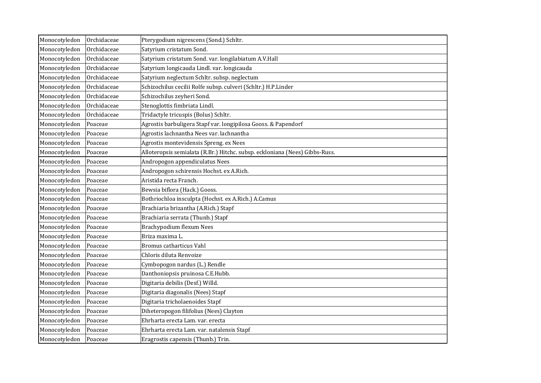| Monocotyledon | Orchidaceae | Pterygodium nigrescens (Sond.) Schltr.                                      |
|---------------|-------------|-----------------------------------------------------------------------------|
| Monocotyledon | Orchidaceae | Satyrium cristatum Sond.                                                    |
| Monocotyledon | Orchidaceae | Satyrium cristatum Sond. var. longilabiatum A.V.Hall                        |
| Monocotyledon | Orchidaceae | Satyrium longicauda Lindl. var. longicauda                                  |
| Monocotyledon | Orchidaceae | Satyrium neglectum Schltr. subsp. neglectum                                 |
| Monocotyledon | Orchidaceae | Schizochilus cecilii Rolfe subsp. culveri (Schltr.) H.P.Linder              |
| Monocotyledon | Orchidaceae | Schizochilus zeyheri Sond.                                                  |
| Monocotyledon | Orchidaceae | Stenoglottis fimbriata Lindl.                                               |
| Monocotyledon | Orchidaceae | Tridactyle tricuspis (Bolus) Schltr.                                        |
| Monocotyledon | Poaceae     | Agrostis barbuligera Stapf var. longipilosa Gooss. & Papendorf              |
| Monocotyledon | Poaceae     | Agrostis lachnantha Nees var. lachnantha                                    |
| Monocotyledon | Poaceae     | Agrostis montevidensis Spreng. ex Nees                                      |
| Monocotyledon | Poaceae     | Alloteropsis semialata (R.Br.) Hitchc. subsp. eckloniana (Nees) Gibbs-Russ. |
| Monocotyledon | Poaceae     | Andropogon appendiculatus Nees                                              |
| Monocotyledon | Poaceae     | Andropogon schirensis Hochst. ex A.Rich.                                    |
| Monocotyledon | Poaceae     | Aristida recta Franch.                                                      |
| Monocotyledon | Poaceae     | Bewsia biflora (Hack.) Gooss.                                               |
| Monocotyledon | Poaceae     | Bothriochloa insculpta (Hochst. ex A.Rich.) A.Camus                         |
| Monocotyledon | Poaceae     | Brachiaria brizantha (A.Rich.) Stapf                                        |
| Monocotyledon | Poaceae     | Brachiaria serrata (Thunb.) Stapf                                           |
| Monocotyledon | Poaceae     | Brachypodium flexum Nees                                                    |
| Monocotyledon | Poaceae     | Briza maxima L.                                                             |
| Monocotyledon | Poaceae     | Bromus catharticus Vahl                                                     |
| Monocotyledon | Poaceae     | Chloris diluta Renvoize                                                     |
| Monocotyledon | Poaceae     | Cymbopogon nardus (L.) Rendle                                               |
| Monocotyledon | Poaceae     | Danthoniopsis pruinosa C.E.Hubb.                                            |
| Monocotyledon | Poaceae     | Digitaria debilis (Desf.) Willd.                                            |
| Monocotyledon | Poaceae     | Digitaria diagonalis (Nees) Stapf                                           |
| Monocotyledon | Poaceae     | Digitaria tricholaenoides Stapf                                             |
| Monocotyledon | Poaceae     | Diheteropogon filifolius (Nees) Clayton                                     |
| Monocotyledon | Poaceae     | Ehrharta erecta Lam. var. erecta                                            |
| Monocotyledon | Poaceae     | Ehrharta erecta Lam. var. natalensis Stapf                                  |
| Monocotyledon | Poaceae     | Eragrostis capensis (Thunb.) Trin.                                          |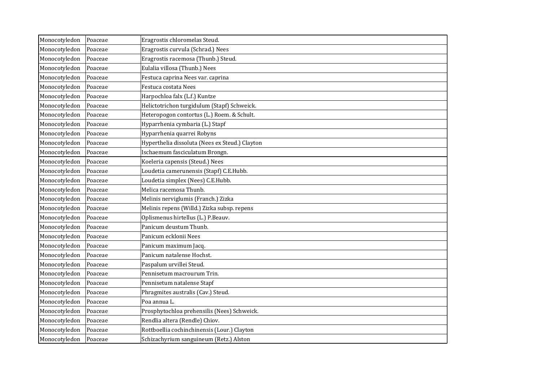| Monocotyledon | Poaceae | Eragrostis chloromelas Steud.                  |
|---------------|---------|------------------------------------------------|
| Monocotyledon | Poaceae | Eragrostis curvula (Schrad.) Nees              |
| Monocotyledon | Poaceae | Eragrostis racemosa (Thunb.) Steud.            |
| Monocotyledon | Poaceae | Eulalia villosa (Thunb.) Nees                  |
| Monocotyledon | Poaceae | Festuca caprina Nees var. caprina              |
| Monocotyledon | Poaceae | Festuca costata Nees                           |
| Monocotyledon | Poaceae | Harpochloa falx (L.f.) Kuntze                  |
| Monocotyledon | Poaceae | Helictotrichon turgidulum (Stapf) Schweick.    |
| Monocotyledon | Poaceae | Heteropogon contortus (L.) Roem. & Schult.     |
| Monocotyledon | Poaceae | Hyparrhenia cymbaria (L.) Stapf                |
| Monocotyledon | Poaceae | Hyparrhenia quarrei Robyns                     |
| Monocotyledon | Poaceae | Hyperthelia dissoluta (Nees ex Steud.) Clayton |
| Monocotyledon | Poaceae | Ischaemum fasciculatum Brongn.                 |
| Monocotyledon | Poaceae | Koeleria capensis (Steud.) Nees                |
| Monocotyledon | Poaceae | Loudetia camerunensis (Stapf) C.E.Hubb.        |
| Monocotyledon | Poaceae | Loudetia simplex (Nees) C.E.Hubb.              |
| Monocotyledon | Poaceae | Melica racemosa Thunb.                         |
| Monocotyledon | Poaceae | Melinis nerviglumis (Franch.) Zizka            |
| Monocotyledon | Poaceae | Melinis repens (Willd.) Zizka subsp. repens    |
| Monocotyledon | Poaceae | Oplismenus hirtellus (L.) P.Beauv.             |
| Monocotyledon | Poaceae | Panicum deustum Thunb.                         |
| Monocotyledon | Poaceae | Panicum ecklonii Nees                          |
| Monocotyledon | Poaceae | Panicum maximum Jacq.                          |
| Monocotyledon | Poaceae | Panicum natalense Hochst.                      |
| Monocotyledon | Poaceae | Paspalum urvillei Steud.                       |
| Monocotyledon | Poaceae | Pennisetum macrourum Trin.                     |
| Monocotyledon | Poaceae | Pennisetum natalense Stapf                     |
| Monocotyledon | Poaceae | Phragmites australis (Cav.) Steud.             |
| Monocotyledon | Poaceae | Poa annua L.                                   |
| Monocotyledon | Poaceae | Prosphytochloa prehensilis (Nees) Schweick.    |
| Monocotyledon | Poaceae | Rendlia altera (Rendle) Chiov.                 |
| Monocotyledon | Poaceae | Rottboellia cochinchinensis (Lour.) Clayton    |
| Monocotyledon | Poaceae | Schizachyrium sanguineum (Retz.) Alston        |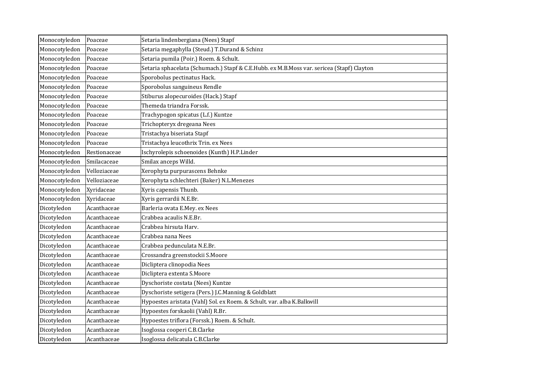| Monocotyledon | Poaceae      | Setaria lindenbergiana (Nees) Stapf                                                       |
|---------------|--------------|-------------------------------------------------------------------------------------------|
| Monocotyledon | Poaceae      | Setaria megaphylla (Steud.) T.Durand & Schinz                                             |
| Monocotyledon | Poaceae      | Setaria pumila (Poir.) Roem. & Schult.                                                    |
| Monocotyledon | Poaceae      | Setaria sphacelata (Schumach.) Stapf & C.E.Hubb. ex M.B.Moss var. sericea (Stapf) Clayton |
| Monocotyledon | Poaceae      | Sporobolus pectinatus Hack.                                                               |
| Monocotyledon | Poaceae      | Sporobolus sanguineus Rendle                                                              |
| Monocotyledon | Poaceae      | Stiburus alopecuroides (Hack.) Stapf                                                      |
| Monocotyledon | Poaceae      | Themeda triandra Forssk.                                                                  |
| Monocotyledon | Poaceae      | Trachypogon spicatus (L.f.) Kuntze                                                        |
| Monocotyledon | Poaceae      | Trichopteryx dregeana Nees                                                                |
| Monocotyledon | Poaceae      | Tristachya biseriata Stapf                                                                |
| Monocotyledon | Poaceae      | Tristachya leucothrix Trin. ex Nees                                                       |
| Monocotyledon | Restionaceae | Ischyrolepis schoenoides (Kunth) H.P.Linder                                               |
| Monocotyledon | Smilacaceae  | Smilax anceps Willd.                                                                      |
| Monocotyledon | Velloziaceae | Xerophyta purpurascens Behnke                                                             |
| Monocotyledon | Velloziaceae | Xerophyta schlechteri (Baker) N.L.Menezes                                                 |
| Monocotyledon | Xyridaceae   | Xyris capensis Thunb.                                                                     |
| Monocotyledon | Xyridaceae   | Xyris gerrardii N.E.Br.                                                                   |
| Dicotyledon   | Acanthaceae  | Barleria ovata E.Mey. ex Nees                                                             |
| Dicotyledon   | Acanthaceae  | Crabbea acaulis N.E.Br.                                                                   |
| Dicotyledon   | Acanthaceae  | Crabbea hirsuta Harv.                                                                     |
| Dicotyledon   | Acanthaceae  | Crabbea nana Nees                                                                         |
| Dicotyledon   | Acanthaceae  | Crabbea pedunculata N.E.Br.                                                               |
| Dicotyledon   | Acanthaceae  | Crossandra greenstockii S.Moore                                                           |
| Dicotyledon   | Acanthaceae  | Dicliptera clinopodia Nees                                                                |
| Dicotyledon   | Acanthaceae  | Dicliptera extenta S.Moore                                                                |
| Dicotyledon   | Acanthaceae  | Dyschoriste costata (Nees) Kuntze                                                         |
| Dicotyledon   | Acanthaceae  | Dyschoriste setigera (Pers.) J.C.Manning & Goldblatt                                      |
| Dicotyledon   | Acanthaceae  | Hypoestes aristata (Vahl) Sol. ex Roem. & Schult. var. alba K.Balkwill                    |
| Dicotyledon   | Acanthaceae  | Hypoestes forskaolii (Vahl) R.Br.                                                         |
| Dicotyledon   | Acanthaceae  | Hypoestes triflora (Forssk.) Roem. & Schult.                                              |
| Dicotyledon   | Acanthaceae  | Isoglossa cooperi C.B.Clarke                                                              |
| Dicotyledon   | Acanthaceae  | Isoglossa delicatula C.B.Clarke                                                           |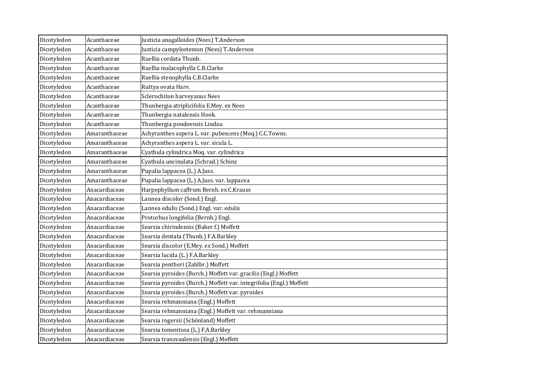| Dicotyledon | Acanthaceae   | Justicia anagalloides (Nees) T.Anderson                             |
|-------------|---------------|---------------------------------------------------------------------|
| Dicotyledon | Acanthaceae   | Justicia campylostemon (Nees) T.Anderson                            |
| Dicotyledon | Acanthaceae   | Ruellia cordata Thunb.                                              |
| Dicotyledon | Acanthaceae   | Ruellia malacophylla C.B.Clarke                                     |
| Dicotyledon | Acanthaceae   | Ruellia stenophylla C.B.Clarke                                      |
| Dicotyledon | Acanthaceae   | Ruttya ovata Harv.                                                  |
| Dicotyledon | Acanthaceae   | Sclerochiton harveyanus Nees                                        |
| Dicotyledon | Acanthaceae   | Thunbergia atriplicifolia E.Mey. ex Nees                            |
| Dicotyledon | Acanthaceae   | Thunbergia natalensis Hook.                                         |
| Dicotyledon | Acanthaceae   | Thunbergia pondoensis Lindau                                        |
| Dicotyledon | Amaranthaceae | Achyranthes aspera L. var. pubescens (Moq.) C.C.Towns.              |
| Dicotyledon | Amaranthaceae | Achyranthes aspera L. var. sicula L.                                |
| Dicotyledon | Amaranthaceae | Cyathula cylindrica Moq. var. cylindrica                            |
| Dicotyledon | Amaranthaceae | Cyathula uncinulata (Schrad.) Schinz                                |
| Dicotyledon | Amaranthaceae | Pupalia lappacea (L.) A.Juss.                                       |
| Dicotyledon | Amaranthaceae | Pupalia lappacea (L.) A.Juss. var. lappacea                         |
| Dicotyledon | Anacardiaceae | Harpephyllum caffrum Bernh. ex C.Krauss                             |
| Dicotyledon | Anacardiaceae | Lannea discolor (Sond.) Engl.                                       |
| Dicotyledon | Anacardiaceae | Lannea edulis (Sond.) Engl. var. edulis                             |
| Dicotyledon | Anacardiaceae | Protorhus longifolia (Bernh.) Engl.                                 |
| Dicotyledon | Anacardiaceae | Searsia chirindensis (Baker f.) Moffett                             |
| Dicotyledon | Anacardiaceae | Searsia dentata (Thunb.) F.A.Barkley                                |
| Dicotyledon | Anacardiaceae | Searsia discolor (E.Mey. ex Sond.) Moffett                          |
| Dicotyledon | Anacardiaceae | Searsia lucida (L.) F.A.Barkley                                     |
| Dicotyledon | Anacardiaceae | Searsia pentheri (Zahlbr.) Moffett                                  |
| Dicotyledon | Anacardiaceae | Searsia pyroides (Burch.) Moffett var. gracilis (Engl.) Moffett     |
| Dicotyledon | Anacardiaceae | Searsia pyroides (Burch.) Moffett var. integrifolia (Engl.) Moffett |
| Dicotyledon | Anacardiaceae | Searsia pyroides (Burch.) Moffett var. pyroides                     |
| Dicotyledon | Anacardiaceae | Searsia rehmanniana (Engl.) Moffett                                 |
| Dicotyledon | Anacardiaceae | Searsia rehmanniana (Engl.) Moffett var. rehmanniana                |
| Dicotyledon | Anacardiaceae | Searsia rogersii (Schönland) Moffett                                |
| Dicotyledon | Anacardiaceae | Searsia tomentosa (L.) F.A.Barkley                                  |
| Dicotyledon | Anacardiaceae | Searsia transvaalensis (Engl.) Moffett                              |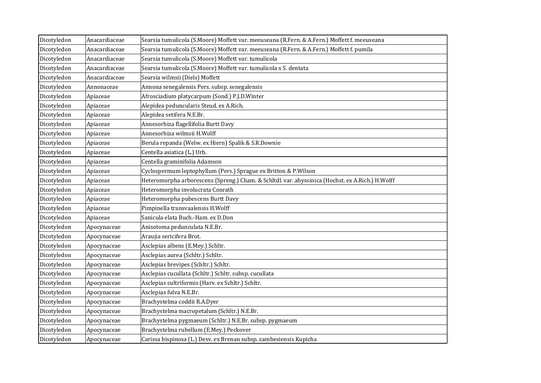| Dicotyledon | Anacardiaceae | Searsia tumulicola (S.Moore) Moffett var. meeuseana (R.Fern. & A.Fern.) Moffett f. meeuseana     |
|-------------|---------------|--------------------------------------------------------------------------------------------------|
| Dicotyledon | Anacardiaceae | Searsia tumulicola (S.Moore) Moffett var. meeuseana (R.Fern. & A.Fern.) Moffett f. pumila        |
| Dicotyledon | Anacardiaceae | Searsia tumulicola (S.Moore) Moffett var. tumulicola                                             |
| Dicotyledon | Anacardiaceae | Searsia tumulicola (S.Moore) Moffett var. tumulicola x S. dentata                                |
| Dicotyledon | Anacardiaceae | Searsia wilmsii (Diels) Moffett                                                                  |
| Dicotyledon | Annonaceae    | Annona senegalensis Pers. subsp. senegalensis                                                    |
| Dicotyledon | Apiaceae      | Afrosciadium platycarpum (Sond.) P.J.D.Winter                                                    |
| Dicotyledon | Apiaceae      | Alepidea peduncularis Steud. ex A.Rich.                                                          |
| Dicotyledon | Apiaceae      | Alepidea setifera N.E.Br.                                                                        |
| Dicotyledon | Apiaceae      | Annesorhiza flagellifolia Burtt Davy                                                             |
| Dicotyledon | Apiaceae      | Annesorhiza wilmsii H.Wolff                                                                      |
| Dicotyledon | Apiaceae      | Berula repanda (Welw. ex Hiern) Spalik & S.R.Downie                                              |
| Dicotyledon | Apiaceae      | Centella asiatica (L.) Urb.                                                                      |
| Dicotyledon | Apiaceae      | Centella graminifolia Adamson                                                                    |
| Dicotyledon | Apiaceae      | Cyclospermum leptophyllum (Pers.) Sprague ex Britton & P.Wilson                                  |
| Dicotyledon | Apiaceae      | Heteromorpha arborescens (Spreng.) Cham. & Schltdl. var. abyssinica (Hochst. ex A.Rich.) H.Wolff |
| Dicotyledon | Apiaceae      | Heteromorpha involucrata Conrath                                                                 |
| Dicotyledon | Apiaceae      | Heteromorpha pubescens Burtt Davy                                                                |
| Dicotyledon | Apiaceae      | Pimpinella transvaalensis H.Wolff                                                                |
| Dicotyledon | Apiaceae      | Sanicula elata Buch.-Ham. ex D.Don                                                               |
| Dicotyledon | Apocynaceae   | Anisotoma pedunculata N.E.Br.                                                                    |
| Dicotyledon | Apocynaceae   | Araujia sericifera Brot.                                                                         |
| Dicotyledon | Apocynaceae   | Asclepias albens (E.Mey.) Schltr.                                                                |
| Dicotyledon | Apocynaceae   | Asclepias aurea (Schltr.) Schltr.                                                                |
| Dicotyledon | Apocynaceae   | Asclepias brevipes (Schltr.) Schltr.                                                             |
| Dicotyledon | Apocynaceae   | Asclepias cucullata (Schltr.) Schltr. subsp. cucullata                                           |
| Dicotyledon | Apocynaceae   | Asclepias cultriformis (Harv. ex Schltr.) Schltr.                                                |
| Dicotyledon | Apocynaceae   | Asclepias fulva N.E.Br.                                                                          |
| Dicotyledon | Apocynaceae   | Brachystelma coddii R.A.Dyer                                                                     |
| Dicotyledon | Apocynaceae   | Brachystelma macropetalum (Schltr.) N.E.Br.                                                      |
| Dicotyledon | Apocynaceae   | Brachystelma pygmaeum (Schltr.) N.E.Br. subsp. pygmaeum                                          |
| Dicotyledon | Apocynaceae   | Brachystelma rubellum (E.Mey.) Peckover                                                          |
| Dicotyledon | Apocynaceae   | Carissa bispinosa (L.) Desv. ex Brenan subsp. zambesiensis Kupicha                               |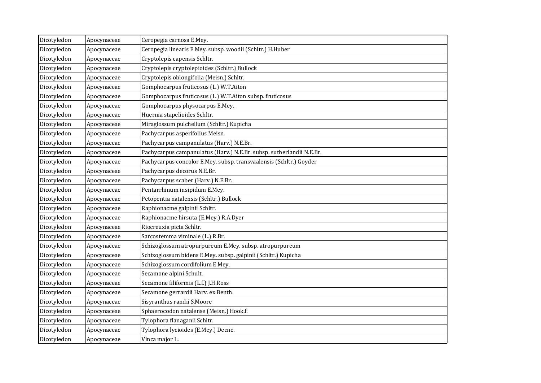| Dicotyledon | Apocynaceae | Ceropegia carnosa E.Mey.                                             |
|-------------|-------------|----------------------------------------------------------------------|
| Dicotyledon | Apocynaceae | Ceropegia linearis E.Mey. subsp. woodii (Schltr.) H.Huber            |
| Dicotyledon | Apocynaceae | Cryptolepis capensis Schltr.                                         |
| Dicotyledon | Apocynaceae | Cryptolepis cryptolepioides (Schltr.) Bullock                        |
| Dicotyledon | Apocynaceae | Cryptolepis oblongifolia (Meisn.) Schltr.                            |
| Dicotyledon | Apocynaceae | Gomphocarpus fruticosus (L.) W.T.Aiton                               |
| Dicotyledon | Apocynaceae | Gomphocarpus fruticosus (L.) W.T.Aiton subsp. fruticosus             |
| Dicotyledon | Apocynaceae | Gomphocarpus physocarpus E.Mey.                                      |
| Dicotyledon | Apocynaceae | Huernia stapelioides Schltr.                                         |
| Dicotyledon | Apocynaceae | Miraglossum pulchellum (Schltr.) Kupicha                             |
| Dicotyledon | Apocynaceae | Pachycarpus asperifolius Meisn.                                      |
| Dicotyledon | Apocynaceae | Pachycarpus campanulatus (Harv.) N.E.Br.                             |
| Dicotyledon | Apocynaceae | Pachycarpus campanulatus (Harv.) N.E.Br. subsp. sutherlandii N.E.Br. |
| Dicotyledon | Apocynaceae | Pachycarpus concolor E.Mey. subsp. transvaalensis (Schltr.) Goyder   |
| Dicotyledon | Apocynaceae | Pachycarpus decorus N.E.Br.                                          |
| Dicotyledon | Apocynaceae | Pachycarpus scaber (Harv.) N.E.Br.                                   |
| Dicotyledon | Apocynaceae | Pentarrhinum insipidum E.Mey.                                        |
| Dicotyledon | Apocynaceae | Petopentia natalensis (Schltr.) Bullock                              |
| Dicotyledon | Apocynaceae | Raphionacme galpinii Schltr.                                         |
| Dicotyledon | Apocynaceae | Raphionacme hirsuta (E.Mey.) R.A.Dyer                                |
| Dicotyledon | Apocynaceae | Riocreuxia picta Schltr.                                             |
| Dicotyledon | Apocynaceae | Sarcostemma viminale (L.) R.Br.                                      |
| Dicotyledon | Apocynaceae | Schizoglossum atropurpureum E.Mey. subsp. atropurpureum              |
| Dicotyledon | Apocynaceae | Schizoglossum bidens E.Mey. subsp. galpinii (Schltr.) Kupicha        |
| Dicotyledon | Apocynaceae | Schizoglossum cordifolium E.Mey.                                     |
| Dicotyledon | Apocynaceae | Secamone alpini Schult.                                              |
| Dicotyledon | Apocynaceae | Secamone filiformis (L.f.) J.H.Ross                                  |
| Dicotyledon | Apocynaceae | Secamone gerrardii Harv. ex Benth.                                   |
| Dicotyledon | Apocynaceae | Sisyranthus randii S.Moore                                           |
| Dicotyledon | Apocynaceae | Sphaerocodon natalense (Meisn.) Hook.f.                              |
| Dicotyledon | Apocynaceae | Tylophora flanaganii Schltr.                                         |
| Dicotyledon | Apocynaceae | Tylophora lycioides (E.Mey.) Decne.                                  |
| Dicotyledon | Apocynaceae | Vinca major L.                                                       |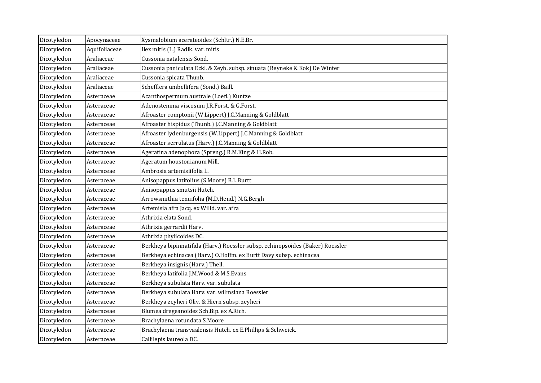| Dicotyledon | Apocynaceae   | Xysmalobium acerateoides (Schltr.) N.E.Br.                                    |
|-------------|---------------|-------------------------------------------------------------------------------|
| Dicotyledon | Aquifoliaceae | Ilex mitis (L.) Radlk. var. mitis                                             |
| Dicotyledon | Araliaceae    | Cussonia natalensis Sond.                                                     |
| Dicotyledon | Araliaceae    | Cussonia paniculata Eckl. & Zeyh. subsp. sinuata (Reyneke & Kok) De Winter    |
| Dicotyledon | Araliaceae    | Cussonia spicata Thunb.                                                       |
| Dicotyledon | Araliaceae    | Schefflera umbellifera (Sond.) Baill.                                         |
| Dicotyledon | Asteraceae    | Acanthospermum australe (Loefl.) Kuntze                                       |
| Dicotyledon | Asteraceae    | Adenostemma viscosum J.R.Forst. & G.Forst.                                    |
| Dicotyledon | Asteraceae    | Afroaster comptonii (W.Lippert) J.C.Manning & Goldblatt                       |
| Dicotyledon | Asteraceae    | Afroaster hispidus (Thunb.) J.C.Manning & Goldblatt                           |
| Dicotyledon | Asteraceae    | Afroaster lydenburgensis (W.Lippert) J.C.Manning & Goldblatt                  |
| Dicotyledon | Asteraceae    | Afroaster serrulatus (Harv.) J.C.Manning & Goldblatt                          |
| Dicotyledon | Asteraceae    | Ageratina adenophora (Spreng.) R.M.King & H.Rob.                              |
| Dicotyledon | Asteraceae    | Ageratum houstonianum Mill.                                                   |
| Dicotyledon | Asteraceae    | Ambrosia artemisiifolia L.                                                    |
| Dicotyledon | Asteraceae    | Anisopappus latifolius (S.Moore) B.L.Burtt                                    |
| Dicotyledon | Asteraceae    | Anisopappus smutsii Hutch.                                                    |
| Dicotyledon | Asteraceae    | Arrowsmithia tenuifolia (M.D.Hend.) N.G.Bergh                                 |
| Dicotyledon | Asteraceae    | Artemisia afra Jacq. ex Willd. var. afra                                      |
| Dicotyledon | Asteraceae    | Athrixia elata Sond.                                                          |
| Dicotyledon | Asteraceae    | Athrixia gerrardii Harv.                                                      |
| Dicotyledon | Asteraceae    | Athrixia phylicoides DC.                                                      |
| Dicotyledon | Asteraceae    | Berkheya bipinnatifida (Harv.) Roessler subsp. echinopsoides (Baker) Roessler |
| Dicotyledon | Asteraceae    | Berkheya echinacea (Harv.) O.Hoffm. ex Burtt Davy subsp. echinacea            |
| Dicotyledon | Asteraceae    | Berkheya insignis (Harv.) Thell.                                              |
| Dicotyledon | Asteraceae    | Berkheya latifolia J.M.Wood & M.S.Evans                                       |
| Dicotyledon | Asteraceae    | Berkheya subulata Harv. var. subulata                                         |
| Dicotyledon | Asteraceae    | Berkheya subulata Harv. var. wilmsiana Roessler                               |
| Dicotyledon | Asteraceae    | Berkheya zeyheri Oliv. & Hiern subsp. zeyheri                                 |
| Dicotyledon | Asteraceae    | Blumea dregeanoides Sch. Bip. ex A. Rich.                                     |
| Dicotyledon | Asteraceae    | Brachylaena rotundata S.Moore                                                 |
| Dicotyledon | Asteraceae    | Brachylaena transvaalensis Hutch. ex E.Phillips & Schweick.                   |
| Dicotyledon | Asteraceae    | Callilepis laureola DC.                                                       |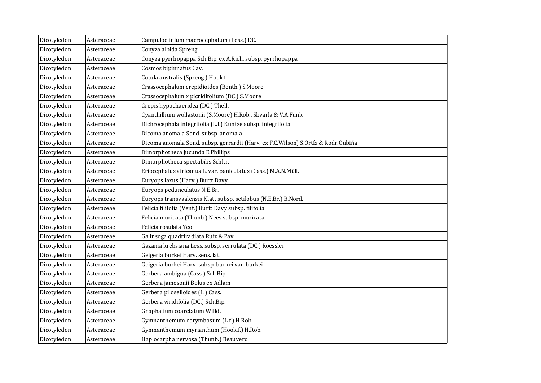| Dicotyledon | Asteraceae | Campuloclinium macrocephalum (Less.) DC.                                          |
|-------------|------------|-----------------------------------------------------------------------------------|
| Dicotyledon | Asteraceae | Conyza albida Spreng.                                                             |
| Dicotyledon | Asteraceae | Conyza pyrrhopappa Sch.Bip. ex A.Rich. subsp. pyrrhopappa                         |
| Dicotyledon | Asteraceae | Cosmos bipinnatus Cav.                                                            |
| Dicotyledon | Asteraceae | Cotula australis (Spreng.) Hook.f.                                                |
| Dicotyledon | Asteraceae | Crassocephalum crepidioides (Benth.) S.Moore                                      |
| Dicotyledon | Asteraceae | Crassocephalum x picridifolium (DC.) S.Moore                                      |
| Dicotyledon | Asteraceae | Crepis hypochaeridea (DC.) Thell.                                                 |
| Dicotyledon | Asteraceae | Cyanthillium wollastonii (S.Moore) H.Rob., Skvarla & V.A.Funk                     |
| Dicotyledon | Asteraceae | Dichrocephala integrifolia (L.f.) Kuntze subsp. integrifolia                      |
| Dicotyledon | Asteraceae | Dicoma anomala Sond. subsp. anomala                                               |
| Dicotyledon | Asteraceae | Dicoma anomala Sond. subsp. gerrardii (Harv. ex F.C.Wilson) S.Ortíz & Rodr.Oubiña |
| Dicotyledon | Asteraceae | Dimorphotheca jucunda E.Phillips                                                  |
| Dicotyledon | Asteraceae | Dimorphotheca spectabilis Schltr.                                                 |
| Dicotyledon | Asteraceae | Eriocephalus africanus L. var. paniculatus (Cass.) M.A.N.Müll.                    |
| Dicotyledon | Asteraceae | Euryops laxus (Harv.) Burtt Davy                                                  |
| Dicotyledon | Asteraceae | Euryops pedunculatus N.E.Br.                                                      |
| Dicotyledon | Asteraceae | Euryops transvaalensis Klatt subsp. setilobus (N.E.Br.) B.Nord.                   |
| Dicotyledon | Asteraceae | Felicia filifolia (Vent.) Burtt Davy subsp. filifolia                             |
| Dicotyledon | Asteraceae | Felicia muricata (Thunb.) Nees subsp. muricata                                    |
| Dicotyledon | Asteraceae | Felicia rosulata Yeo                                                              |
| Dicotyledon | Asteraceae | Galinsoga quadriradiata Ruiz & Pav.                                               |
| Dicotyledon | Asteraceae | Gazania krebsiana Less. subsp. serrulata (DC.) Roessler                           |
| Dicotyledon | Asteraceae | Geigeria burkei Harv. sens. lat.                                                  |
| Dicotyledon | Asteraceae | Geigeria burkei Harv. subsp. burkei var. burkei                                   |
| Dicotyledon | Asteraceae | Gerbera ambigua (Cass.) Sch.Bip.                                                  |
| Dicotyledon | Asteraceae | Gerbera jamesonii Bolus ex Adlam                                                  |
| Dicotyledon | Asteraceae | Gerbera piloselloides (L.) Cass.                                                  |
| Dicotyledon | Asteraceae | Gerbera viridifolia (DC.) Sch.Bip.                                                |
| Dicotyledon | Asteraceae | Gnaphalium coarctatum Willd.                                                      |
| Dicotyledon | Asteraceae | Gymnanthemum corymbosum (L.f.) H.Rob.                                             |
| Dicotyledon | Asteraceae | Gymnanthemum myrianthum (Hook.f.) H.Rob.                                          |
| Dicotyledon | Asteraceae | Haplocarpha nervosa (Thunb.) Beauverd                                             |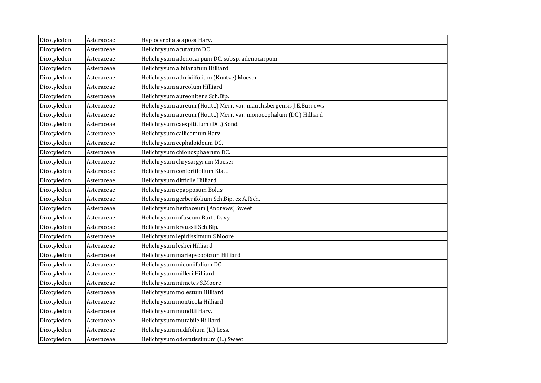| Dicotyledon | Asteraceae | Haplocarpha scaposa Harv.                                          |
|-------------|------------|--------------------------------------------------------------------|
| Dicotyledon | Asteraceae | Helichrysum acutatum DC.                                           |
| Dicotyledon | Asteraceae | Helichrysum adenocarpum DC. subsp. adenocarpum                     |
| Dicotyledon | Asteraceae | Helichrysum albilanatum Hilliard                                   |
| Dicotyledon | Asteraceae | Helichrysum athrixiifolium (Kuntze) Moeser                         |
| Dicotyledon | Asteraceae | Helichrysum aureolum Hilliard                                      |
| Dicotyledon | Asteraceae | Helichrysum aureonitens Sch.Bip.                                   |
| Dicotyledon | Asteraceae | Helichrysum aureum (Houtt.) Merr. var. mauchsbergensis J.E.Burrows |
| Dicotyledon | Asteraceae | Helichrysum aureum (Houtt.) Merr. var. monocephalum (DC.) Hilliard |
| Dicotyledon | Asteraceae | Helichrysum caespititium (DC.) Sond.                               |
| Dicotyledon | Asteraceae | Helichrysum callicomum Harv.                                       |
| Dicotyledon | Asteraceae | Helichrysum cephaloideum DC.                                       |
| Dicotyledon | Asteraceae | Helichrysum chionosphaerum DC.                                     |
| Dicotyledon | Asteraceae | Helichrysum chrysargyrum Moeser                                    |
| Dicotyledon | Asteraceae | Helichrysum confertifolium Klatt                                   |
| Dicotyledon | Asteraceae | Helichrysum difficile Hilliard                                     |
| Dicotyledon | Asteraceae | Helichrysum epapposum Bolus                                        |
| Dicotyledon | Asteraceae | Helichrysum gerberifolium Sch.Bip. ex A.Rich.                      |
| Dicotyledon | Asteraceae | Helichrysum herbaceum (Andrews) Sweet                              |
| Dicotyledon | Asteraceae | Helichrysum infuscum Burtt Davy                                    |
| Dicotyledon | Asteraceae | Helichrysum kraussii Sch.Bip.                                      |
| Dicotyledon | Asteraceae | Helichrysum lepidissimum S.Moore                                   |
| Dicotyledon | Asteraceae | Helichrysum lesliei Hilliard                                       |
| Dicotyledon | Asteraceae | Helichrysum mariepscopicum Hilliard                                |
| Dicotyledon | Asteraceae | Helichrysum miconiifolium DC.                                      |
| Dicotyledon | Asteraceae | Helichrysum milleri Hilliard                                       |
| Dicotyledon | Asteraceae | Helichrysum mimetes S.Moore                                        |
| Dicotyledon | Asteraceae | Helichrysum molestum Hilliard                                      |
| Dicotyledon | Asteraceae | Helichrysum monticola Hilliard                                     |
| Dicotyledon | Asteraceae | Helichrysum mundtii Harv.                                          |
| Dicotyledon | Asteraceae | Helichrysum mutabile Hilliard                                      |
| Dicotyledon | Asteraceae | Helichrysum nudifolium (L.) Less.                                  |
| Dicotyledon | Asteraceae | Helichrysum odoratissimum (L.) Sweet                               |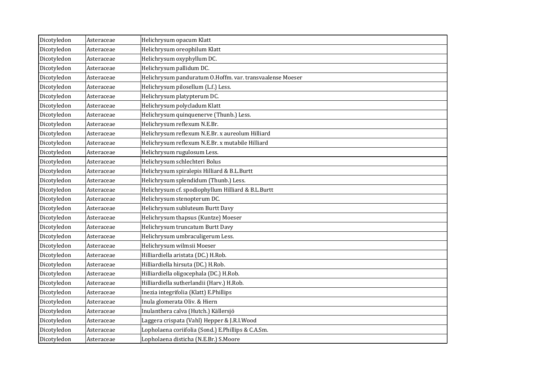| Dicotyledon | Asteraceae | Helichrysum opacum Klatt                                  |
|-------------|------------|-----------------------------------------------------------|
| Dicotyledon | Asteraceae | Helichrysum oreophilum Klatt                              |
| Dicotyledon | Asteraceae | Helichrysum oxyphyllum DC.                                |
| Dicotyledon | Asteraceae | Helichrysum pallidum DC.                                  |
| Dicotyledon | Asteraceae | Helichrysum panduratum O.Hoffm. var. transvaalense Moeser |
| Dicotyledon | Asteraceae | Helichrysum pilosellum (L.f.) Less.                       |
| Dicotyledon | Asteraceae | Helichrysum platypterum DC.                               |
| Dicotyledon | Asteraceae | Helichrysum polycladum Klatt                              |
| Dicotyledon | Asteraceae | Helichrysum quinquenerve (Thunb.) Less.                   |
| Dicotyledon | Asteraceae | Helichrysum reflexum N.E.Br.                              |
| Dicotyledon | Asteraceae | Helichrysum reflexum N.E.Br. x aureolum Hilliard          |
| Dicotyledon | Asteraceae | Helichrysum reflexum N.E.Br. x mutabile Hilliard          |
| Dicotyledon | Asteraceae | Helichrysum rugulosum Less.                               |
| Dicotyledon | Asteraceae | Helichrysum schlechteri Bolus                             |
| Dicotyledon | Asteraceae | Helichrysum spiralepis Hilliard & B.L.Burtt               |
| Dicotyledon | Asteraceae | Helichrysum splendidum (Thunb.) Less.                     |
| Dicotyledon | Asteraceae | Helichrysum cf. spodiophyllum Hilliard & B.L.Burtt        |
| Dicotyledon | Asteraceae | Helichrysum stenopterum DC.                               |
| Dicotyledon | Asteraceae | Helichrysum subluteum Burtt Davy                          |
| Dicotyledon | Asteraceae | Helichrysum thapsus (Kuntze) Moeser                       |
| Dicotyledon | Asteraceae | Helichrysum truncatum Burtt Davy                          |
| Dicotyledon | Asteraceae | Helichrysum umbraculigerum Less.                          |
| Dicotyledon | Asteraceae | Helichrysum wilmsii Moeser                                |
| Dicotyledon | Asteraceae | Hilliardiella aristata (DC.) H.Rob.                       |
| Dicotyledon | Asteraceae | Hilliardiella hirsuta (DC.) H.Rob.                        |
| Dicotyledon | Asteraceae | Hilliardiella oligocephala (DC.) H.Rob.                   |
| Dicotyledon | Asteraceae | Hilliardiella sutherlandii (Harv.) H.Rob.                 |
| Dicotyledon | Asteraceae | Inezia integrifolia (Klatt) E.Phillips                    |
| Dicotyledon | Asteraceae | Inula glomerata Oliv. & Hiern                             |
| Dicotyledon | Asteraceae | Inulanthera calva (Hutch.) Källersjö                      |
| Dicotyledon | Asteraceae | Laggera crispata (Vahl) Hepper & J.R.I.Wood               |
| Dicotyledon | Asteraceae | Lopholaena coriifolia (Sond.) E.Phillips & C.A.Sm.        |
| Dicotyledon | Asteraceae | Lopholaena disticha (N.E.Br.) S.Moore                     |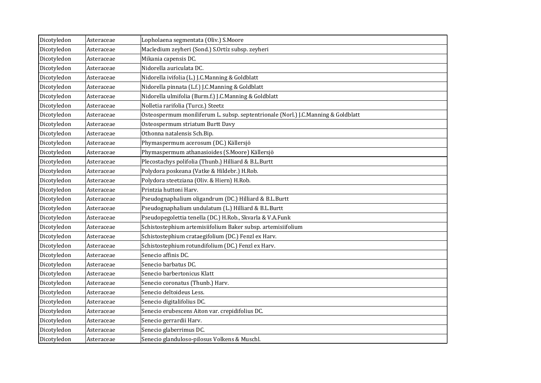| Dicotyledon | Asteraceae | Lopholaena segmentata (Oliv.) S.Moore                                             |
|-------------|------------|-----------------------------------------------------------------------------------|
| Dicotyledon | Asteraceae | Macledium zeyheri (Sond.) S.Ortíz subsp. zeyheri                                  |
| Dicotyledon | Asteraceae | Mikania capensis DC.                                                              |
| Dicotyledon | Asteraceae | Nidorella auriculata DC.                                                          |
| Dicotyledon | Asteraceae | Nidorella ivifolia (L.) J.C.Manning & Goldblatt                                   |
| Dicotyledon | Asteraceae | Nidorella pinnata (L.f.) J.C.Manning & Goldblatt                                  |
| Dicotyledon | Asteraceae | Nidorella ulmifolia (Burm.f.) J.C.Manning & Goldblatt                             |
| Dicotyledon | Asteraceae | Nolletia rarifolia (Turcz.) Steetz                                                |
| Dicotyledon | Asteraceae | Osteospermum moniliferum L. subsp. septentrionale (Norl.) J.C.Manning & Goldblatt |
| Dicotyledon | Asteraceae | Osteospermum striatum Burtt Davy                                                  |
| Dicotyledon | Asteraceae | Othonna natalensis Sch.Bip.                                                       |
| Dicotyledon | Asteraceae | Phymaspermum acerosum (DC.) Källersjö                                             |
| Dicotyledon | Asteraceae | Phymaspermum athanasioides (S.Moore) Källersjö                                    |
| Dicotyledon | Asteraceae | Plecostachys polifolia (Thunb.) Hilliard & B.L.Burtt                              |
| Dicotyledon | Asteraceae | Polydora poskeana (Vatke & Hildebr.) H.Rob.                                       |
| Dicotyledon | Asteraceae | Polydora steetziana (Oliv. & Hiern) H.Rob.                                        |
| Dicotyledon | Asteraceae | Printzia huttoni Harv.                                                            |
| Dicotyledon | Asteraceae | Pseudognaphalium oligandrum (DC.) Hilliard & B.L.Burtt                            |
| Dicotyledon | Asteraceae | Pseudognaphalium undulatum (L.) Hilliard & B.L.Burtt                              |
| Dicotyledon | Asteraceae | Pseudopegolettia tenella (DC.) H.Rob., Skvarla & V.A.Funk                         |
| Dicotyledon | Asteraceae | Schistostephium artemisiifolium Baker subsp. artemisiifolium                      |
| Dicotyledon | Asteraceae | Schistostephium crataegifolium (DC.) Fenzl ex Harv.                               |
| Dicotyledon | Asteraceae | Schistostephium rotundifolium (DC.) Fenzl ex Harv.                                |
| Dicotyledon | Asteraceae | Senecio affinis DC.                                                               |
| Dicotyledon | Asteraceae | Senecio barbatus DC.                                                              |
| Dicotyledon | Asteraceae | Senecio barbertonicus Klatt                                                       |
| Dicotyledon | Asteraceae | Senecio coronatus (Thunb.) Harv.                                                  |
| Dicotyledon | Asteraceae | Senecio deltoideus Less.                                                          |
| Dicotyledon | Asteraceae | Senecio digitalifolius DC.                                                        |
| Dicotyledon | Asteraceae | Senecio erubescens Aiton var. crepidifolius DC.                                   |
| Dicotyledon | Asteraceae | Senecio gerrardii Harv.                                                           |
| Dicotyledon | Asteraceae | Senecio glaberrimus DC.                                                           |
| Dicotyledon | Asteraceae | Senecio glanduloso-pilosus Volkens & Muschl.                                      |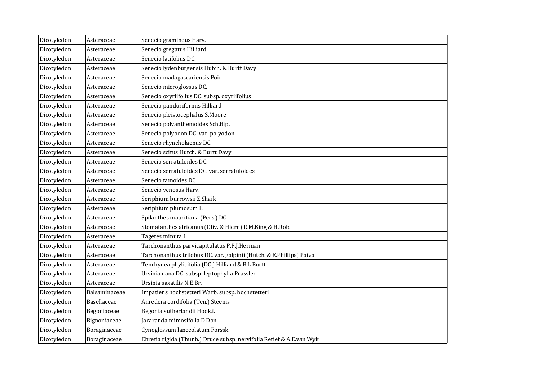| Dicotyledon | Asteraceae    | Senecio gramineus Harv.                                              |
|-------------|---------------|----------------------------------------------------------------------|
| Dicotyledon | Asteraceae    | Senecio gregatus Hilliard                                            |
| Dicotyledon | Asteraceae    | Senecio latifolius DC.                                               |
| Dicotyledon | Asteraceae    | Senecio lydenburgensis Hutch. & Burtt Davy                           |
| Dicotyledon | Asteraceae    | Senecio madagascariensis Poir.                                       |
| Dicotyledon | Asteraceae    | Senecio microglossus DC.                                             |
| Dicotyledon | Asteraceae    | Senecio oxyriifolius DC. subsp. oxyriifolius                         |
| Dicotyledon | Asteraceae    | Senecio panduriformis Hilliard                                       |
| Dicotyledon | Asteraceae    | Senecio pleistocephalus S.Moore                                      |
| Dicotyledon | Asteraceae    | Senecio polyanthemoides Sch.Bip.                                     |
| Dicotyledon | Asteraceae    | Senecio polyodon DC. var. polyodon                                   |
| Dicotyledon | Asteraceae    | Senecio rhyncholaenus DC.                                            |
| Dicotyledon | Asteraceae    | Senecio scitus Hutch. & Burtt Davy                                   |
| Dicotyledon | Asteraceae    | Senecio serratuloides DC.                                            |
| Dicotyledon | Asteraceae    | Senecio serratuloides DC. var. serratuloides                         |
| Dicotyledon | Asteraceae    | Senecio tamoides DC.                                                 |
| Dicotyledon | Asteraceae    | Senecio venosus Harv.                                                |
| Dicotyledon | Asteraceae    | Seriphium burrowsii Z.Shaik                                          |
| Dicotyledon | Asteraceae    | Seriphium plumosum L.                                                |
| Dicotyledon | Asteraceae    | Spilanthes mauritiana (Pers.) DC.                                    |
| Dicotyledon | Asteraceae    | Stomatanthes africanus (Oliv. & Hiern) R.M.King & H.Rob.             |
| Dicotyledon | Asteraceae    | Tagetes minuta L.                                                    |
| Dicotyledon | Asteraceae    | Tarchonanthus parvicapitulatus P.P.J.Herman                          |
| Dicotyledon | Asteraceae    | Tarchonanthus trilobus DC. var. galpinii (Hutch. & E.Phillips) Paiva |
| Dicotyledon | Asteraceae    | Tenrhynea phylicifolia (DC.) Hilliard & B.L.Burtt                    |
| Dicotyledon | Asteraceae    | Ursinia nana DC. subsp. leptophylla Prassler                         |
| Dicotyledon | Asteraceae    | Ursinia saxatilis N.E.Br.                                            |
| Dicotyledon | Balsaminaceae | Impatiens hochstetteri Warb. subsp. hochstetteri                     |
| Dicotyledon | Basellaceae   | Anredera cordifolia (Ten.) Steenis                                   |
| Dicotyledon | Begoniaceae   | Begonia sutherlandii Hook.f.                                         |
| Dicotyledon | Bignoniaceae  | Jacaranda mimosifolia D.Don                                          |
| Dicotyledon | Boraginaceae  | Cynoglossum lanceolatum Forssk.                                      |
| Dicotyledon | Boraginaceae  | Ehretia rigida (Thunb.) Druce subsp. nervifolia Retief & A.E.van Wyk |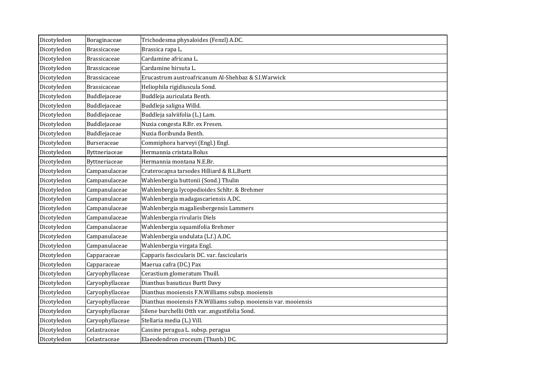| Dicotyledon | Boraginaceae        | Trichodesma physaloides (Fenzl) A.DC.                            |
|-------------|---------------------|------------------------------------------------------------------|
| Dicotyledon | <b>Brassicaceae</b> | Brassica rapa L.                                                 |
| Dicotyledon | <b>Brassicaceae</b> | Cardamine africana L.                                            |
| Dicotyledon | Brassicaceae        | Cardamine hirsuta L.                                             |
| Dicotyledon | <b>Brassicaceae</b> | Erucastrum austroafricanum Al-Shehbaz & S.I.Warwick              |
| Dicotyledon | <b>Brassicaceae</b> | Heliophila rigidiuscula Sond.                                    |
| Dicotyledon | Buddlejaceae        | Buddleja auriculata Benth.                                       |
| Dicotyledon | Buddlejaceae        | Buddleja saligna Willd.                                          |
| Dicotyledon | Buddlejaceae        | Buddleja salviifolia (L.) Lam.                                   |
| Dicotyledon | Buddlejaceae        | Nuxia congesta R.Br. ex Fresen.                                  |
| Dicotyledon | Buddlejaceae        | Nuxia floribunda Benth.                                          |
| Dicotyledon | Burseraceae         | Commiphora harveyi (Engl.) Engl.                                 |
| Dicotyledon | Byttneriaceae       | Hermannia cristata Bolus                                         |
| Dicotyledon | Byttneriaceae       | Hermannia montana N.E.Br.                                        |
| Dicotyledon | Campanulaceae       | Craterocapsa tarsodes Hilliard & B.L.Burtt                       |
| Dicotyledon | Campanulaceae       | Wahlenbergia huttonii (Sond.) Thulin                             |
| Dicotyledon | Campanulaceae       | Wahlenbergia lycopodioides Schltr. & Brehmer                     |
| Dicotyledon | Campanulaceae       | Wahlenbergia madagascariensis A.DC.                              |
| Dicotyledon | Campanulaceae       | Wahlenbergia magaliesbergensis Lammers                           |
| Dicotyledon | Campanulaceae       | Wahlenbergia rivularis Diels                                     |
| Dicotyledon | Campanulaceae       | Wahlenbergia squamifolia Brehmer                                 |
| Dicotyledon | Campanulaceae       | Wahlenbergia undulata (L.f.) A.DC.                               |
| Dicotyledon | Campanulaceae       | Wahlenbergia virgata Engl.                                       |
| Dicotyledon | Capparaceae         | Capparis fascicularis DC. var. fascicularis                      |
| Dicotyledon | Capparaceae         | Maerua cafra (DC.) Pax                                           |
| Dicotyledon | Caryophyllaceae     | Cerastium glomeratum Thuill.                                     |
| Dicotyledon | Caryophyllaceae     | Dianthus basuticus Burtt Davy                                    |
| Dicotyledon | Caryophyllaceae     | Dianthus mooiensis F.N.Williams subsp. mooiensis                 |
| Dicotyledon | Caryophyllaceae     | Dianthus mooiensis F.N. Williams subsp. mooiensis var. mooiensis |
| Dicotyledon | Caryophyllaceae     | Silene burchellii Otth var. angustifolia Sond.                   |
| Dicotyledon | Caryophyllaceae     | Stellaria media (L.) Vill.                                       |
| Dicotyledon | Celastraceae        | Cassine peragua L. subsp. peragua                                |
| Dicotyledon | Celastraceae        | Elaeodendron croceum (Thunb.) DC.                                |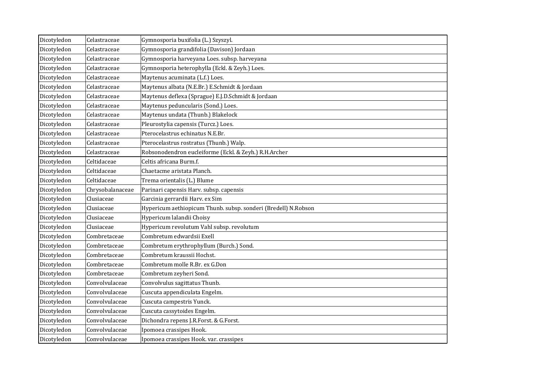| Dicotyledon | Celastraceae     | Gymnosporia buxifolia (L.) Szyszyl.                            |
|-------------|------------------|----------------------------------------------------------------|
| Dicotyledon | Celastraceae     | Gymnosporia grandifolia (Davison) Jordaan                      |
| Dicotyledon | Celastraceae     | Gymnosporia harveyana Loes. subsp. harveyana                   |
| Dicotyledon | Celastraceae     | Gymnosporia heterophylla (Eckl. & Zeyh.) Loes.                 |
| Dicotyledon | Celastraceae     | Maytenus acuminata (L.f.) Loes.                                |
| Dicotyledon | Celastraceae     | Maytenus albata (N.E.Br.) E.Schmidt & Jordaan                  |
| Dicotyledon | Celastraceae     | Maytenus deflexa (Sprague) E.J.D.Schmidt & Jordaan             |
| Dicotyledon | Celastraceae     | Maytenus peduncularis (Sond.) Loes.                            |
| Dicotyledon | Celastraceae     | Maytenus undata (Thunb.) Blakelock                             |
| Dicotyledon | Celastraceae     | Pleurostylia capensis (Turcz.) Loes.                           |
| Dicotyledon | Celastraceae     | Pterocelastrus echinatus N.E.Br.                               |
| Dicotyledon | Celastraceae     | Pterocelastrus rostratus (Thunb.) Walp.                        |
| Dicotyledon | Celastraceae     | Robsonodendron eucleiforme (Eckl. & Zeyh.) R.H.Archer          |
| Dicotyledon | Celtidaceae      | Celtis africana Burm.f.                                        |
| Dicotyledon | Celtidaceae      | Chaetacme aristata Planch.                                     |
| Dicotyledon | Celtidaceae      | Trema orientalis (L.) Blume                                    |
| Dicotyledon | Chrysobalanaceae | Parinari capensis Harv. subsp. capensis                        |
| Dicotyledon | Clusiaceae       | Garcinia gerrardii Harv. ex Sim                                |
| Dicotyledon | Clusiaceae       | Hypericum aethiopicum Thunb. subsp. sonderi (Bredell) N.Robson |
| Dicotyledon | Clusiaceae       | Hypericum lalandii Choisy                                      |
| Dicotyledon | Clusiaceae       | Hypericum revolutum Vahl subsp. revolutum                      |
| Dicotyledon | Combretaceae     | Combretum edwardsii Exell                                      |
| Dicotyledon | Combretaceae     | Combretum erythrophyllum (Burch.) Sond.                        |
| Dicotyledon | Combretaceae     | Combretum kraussii Hochst.                                     |
| Dicotyledon | Combretaceae     | Combretum molle R.Br. ex G.Don                                 |
| Dicotyledon | Combretaceae     | Combretum zeyheri Sond.                                        |
| Dicotyledon | Convolvulaceae   | Convolvulus sagittatus Thunb.                                  |
| Dicotyledon | Convolvulaceae   | Cuscuta appendiculata Engelm.                                  |
| Dicotyledon | Convolvulaceae   | Cuscuta campestris Yunck.                                      |
| Dicotyledon | Convolvulaceae   | Cuscuta cassytoides Engelm.                                    |
| Dicotyledon | Convolvulaceae   | Dichondra repens J.R.Forst. & G.Forst.                         |
| Dicotyledon | Convolvulaceae   | Ipomoea crassipes Hook.                                        |
| Dicotyledon | Convolvulaceae   | Ipomoea crassipes Hook. var. crassipes                         |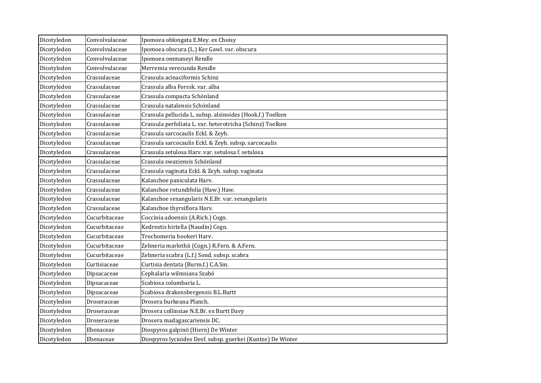| Dicotyledon | Convolvulaceae | Ipomoea oblongata E.Mey. ex Choisy                          |
|-------------|----------------|-------------------------------------------------------------|
| Dicotyledon | Convolvulaceae | Ipomoea obscura (L.) Ker Gawl. var. obscura                 |
| Dicotyledon | Convolvulaceae | Ipomoea ommaneyi Rendle                                     |
| Dicotyledon | Convolvulaceae | Merremia verecunda Rendle                                   |
| Dicotyledon | Crassulaceae   | Crassula acinaciformis Schinz                               |
| Dicotyledon | Crassulaceae   | Crassula alba Forssk. var. alba                             |
| Dicotyledon | Crassulaceae   | Crassula compacta Schönland                                 |
| Dicotyledon | Crassulaceae   | Crassula natalensis Schönland                               |
| Dicotyledon | Crassulaceae   | Crassula pellucida L. subsp. alsinoides (Hook.f.) Toelken   |
| Dicotyledon | Crassulaceae   | Crassula perfoliata L. var. heterotricha (Schinz) Toelken   |
| Dicotyledon | Crassulaceae   | Crassula sarcocaulis Eckl. & Zeyh.                          |
| Dicotyledon | Crassulaceae   | Crassula sarcocaulis Eckl. & Zeyh. subsp. sarcocaulis       |
| Dicotyledon | Crassulaceae   | Crassula setulosa Harv. var. setulosa f. setulosa           |
| Dicotyledon | Crassulaceae   | Crassula swaziensis Schönland                               |
| Dicotyledon | Crassulaceae   | Crassula vaginata Eckl. & Zeyh. subsp. vaginata             |
| Dicotyledon | Crassulaceae   | Kalanchoe paniculata Harv.                                  |
| Dicotyledon | Crassulaceae   | Kalanchoe rotundifolia (Haw.) Haw.                          |
| Dicotyledon | Crassulaceae   | Kalanchoe sexangularis N.E.Br. var. sexangularis            |
| Dicotyledon | Crassulaceae   | Kalanchoe thyrsiflora Harv.                                 |
| Dicotyledon | Cucurbitaceae  | Coccinia adoensis (A.Rich.) Cogn.                           |
| Dicotyledon | Cucurbitaceae  | Kedrostis hirtella (Naudin) Cogn.                           |
| Dicotyledon | Cucurbitaceae  | Trochomeria hookeri Harv.                                   |
| Dicotyledon | Cucurbitaceae  | Zehneria marlothii (Cogn.) R.Fern. & A.Fern.                |
| Dicotyledon | Cucurbitaceae  | Zehneria scabra (L.f.) Sond. subsp. scabra                  |
| Dicotyledon | Curtisiaceae   | Curtisia dentata (Burm.f.) C.A.Sm.                          |
| Dicotyledon | Dipsacaceae    | Cephalaria wilmsiana Szabó                                  |
| Dicotyledon | Dipsacaceae    | Scabiosa columbaria L.                                      |
| Dicotyledon | Dipsacaceae    | Scabiosa drakensbergensis B.L.Burtt                         |
| Dicotyledon | Droseraceae    | Drosera burkeana Planch.                                    |
| Dicotyledon | Droseraceae    | Drosera collinsiae N.E.Br. ex Burtt Davy                    |
| Dicotyledon | Droseraceae    | Drosera madagascariensis DC.                                |
| Dicotyledon | Ebenaceae      | Diospyros galpinii (Hiern) De Winter                        |
| Dicotyledon | Ebenaceae      | Diospyros lycioides Desf. subsp. guerkei (Kuntze) De Winter |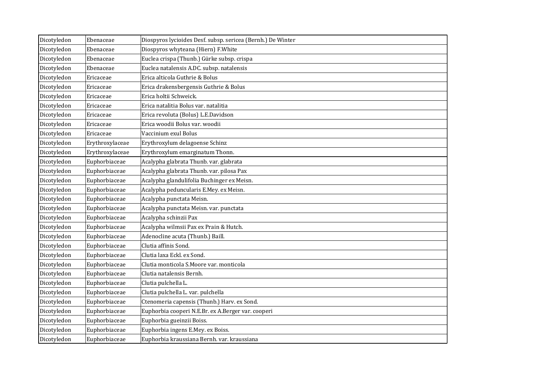| Dicotyledon | Ebenaceae       | Diospyros lycioides Desf. subsp. sericea (Bernh.) De Winter |
|-------------|-----------------|-------------------------------------------------------------|
| Dicotyledon | Ebenaceae       | Diospyros whyteana (Hiern) F.White                          |
| Dicotyledon | Ebenaceae       | Euclea crispa (Thunb.) Gürke subsp. crispa                  |
| Dicotyledon | Ebenaceae       | Euclea natalensis A.DC. subsp. natalensis                   |
| Dicotyledon | Ericaceae       | Erica alticola Guthrie & Bolus                              |
| Dicotyledon | Ericaceae       | Erica drakensbergensis Guthrie & Bolus                      |
| Dicotyledon | Ericaceae       | Erica holtii Schweick.                                      |
| Dicotyledon | Ericaceae       | Erica natalitia Bolus var. natalitia                        |
| Dicotyledon | Ericaceae       | Erica revoluta (Bolus) L.E.Davidson                         |
| Dicotyledon | Ericaceae       | Erica woodii Bolus var. woodii                              |
| Dicotyledon | Ericaceae       | Vaccinium exul Bolus                                        |
| Dicotyledon | Erythroxylaceae | Erythroxylum delagoense Schinz                              |
| Dicotyledon | Erythroxylaceae | Erythroxylum emarginatum Thonn.                             |
| Dicotyledon | Euphorbiaceae   | Acalypha glabrata Thunb. var. glabrata                      |
| Dicotyledon | Euphorbiaceae   | Acalypha glabrata Thunb. var. pilosa Pax                    |
| Dicotyledon | Euphorbiaceae   | Acalypha glandulifolia Buchinger ex Meisn.                  |
| Dicotyledon | Euphorbiaceae   | Acalypha peduncularis E.Mey. ex Meisn.                      |
| Dicotyledon | Euphorbiaceae   | Acalypha punctata Meisn.                                    |
| Dicotyledon | Euphorbiaceae   | Acalypha punctata Meisn. var. punctata                      |
| Dicotyledon | Euphorbiaceae   | Acalypha schinzii Pax                                       |
| Dicotyledon | Euphorbiaceae   | Acalypha wilmsii Pax ex Prain & Hutch.                      |
| Dicotyledon | Euphorbiaceae   | Adenocline acuta (Thunb.) Baill.                            |
| Dicotyledon | Euphorbiaceae   | Clutia affinis Sond.                                        |
| Dicotyledon | Euphorbiaceae   | Clutia laxa Eckl. ex Sond.                                  |
| Dicotyledon | Euphorbiaceae   | Clutia monticola S.Moore var. monticola                     |
| Dicotyledon | Euphorbiaceae   | Clutia natalensis Bernh.                                    |
| Dicotyledon | Euphorbiaceae   | Clutia pulchella L.                                         |
| Dicotyledon | Euphorbiaceae   | Clutia pulchella L. var. pulchella                          |
| Dicotyledon | Euphorbiaceae   | Ctenomeria capensis (Thunb.) Harv. ex Sond.                 |
| Dicotyledon | Euphorbiaceae   | Euphorbia cooperi N.E.Br. ex A.Berger var. cooperi          |
| Dicotyledon | Euphorbiaceae   | Euphorbia gueinzii Boiss.                                   |
| Dicotyledon | Euphorbiaceae   | Euphorbia ingens E.Mey. ex Boiss.                           |
| Dicotyledon | Euphorbiaceae   | Euphorbia kraussiana Bernh. var. kraussiana                 |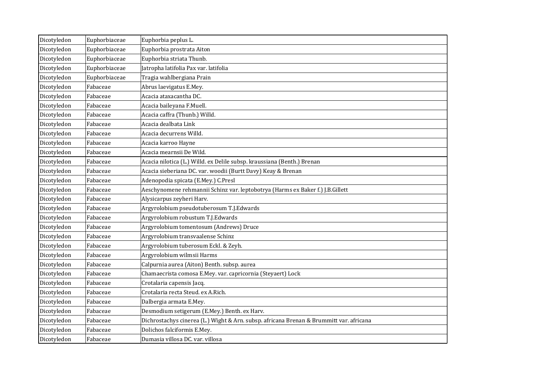| Dicotyledon | Euphorbiaceae | Euphorbia peplus L.                                                                     |
|-------------|---------------|-----------------------------------------------------------------------------------------|
| Dicotyledon | Euphorbiaceae | Euphorbia prostrata Aiton                                                               |
| Dicotyledon | Euphorbiaceae | Euphorbia striata Thunb.                                                                |
| Dicotyledon | Euphorbiaceae | Jatropha latifolia Pax var. latifolia                                                   |
| Dicotyledon | Euphorbiaceae | Tragia wahlbergiana Prain                                                               |
| Dicotyledon | Fabaceae      | Abrus laevigatus E.Mey.                                                                 |
| Dicotyledon | Fabaceae      | Acacia ataxacantha DC.                                                                  |
| Dicotyledon | Fabaceae      | Acacia baileyana F.Muell.                                                               |
| Dicotyledon | Fabaceae      | Acacia caffra (Thunb.) Willd.                                                           |
| Dicotyledon | Fabaceae      | Acacia dealbata Link                                                                    |
| Dicotyledon | Fabaceae      | Acacia decurrens Willd.                                                                 |
| Dicotyledon | Fabaceae      | Acacia karroo Hayne                                                                     |
| Dicotyledon | Fabaceae      | Acacia mearnsii De Wild.                                                                |
| Dicotyledon | Fabaceae      | Acacia nilotica (L.) Willd. ex Delile subsp. kraussiana (Benth.) Brenan                 |
| Dicotyledon | Fabaceae      | Acacia sieberiana DC. var. woodii (Burtt Davy) Keay & Brenan                            |
| Dicotyledon | Fabaceae      | Adenopodia spicata (E.Mey.) C.Presl                                                     |
| Dicotyledon | Fabaceae      | Aeschynomene rehmannii Schinz var. leptobotrya (Harms ex Baker f.) J.B.Gillett          |
| Dicotyledon | Fabaceae      | Alysicarpus zeyheri Harv.                                                               |
| Dicotyledon | Fabaceae      | Argyrolobium pseudotuberosum T.J.Edwards                                                |
| Dicotyledon | Fabaceae      | Argyrolobium robustum T.J.Edwards                                                       |
| Dicotyledon | Fabaceae      | Argyrolobium tomentosum (Andrews) Druce                                                 |
| Dicotyledon | Fabaceae      | Argyrolobium transvaalense Schinz                                                       |
| Dicotyledon | Fabaceae      | Argyrolobium tuberosum Eckl. & Zeyh.                                                    |
| Dicotyledon | Fabaceae      | Argyrolobium wilmsii Harms                                                              |
| Dicotyledon | Fabaceae      | Calpurnia aurea (Aiton) Benth. subsp. aurea                                             |
| Dicotyledon | Fabaceae      | Chamaecrista comosa E.Mey. var. capricornia (Steyaert) Lock                             |
| Dicotyledon | Fabaceae      | Crotalaria capensis Jacq.                                                               |
| Dicotyledon | Fabaceae      | Crotalaria recta Steud. ex A.Rich.                                                      |
| Dicotyledon | Fabaceae      | Dalbergia armata E.Mey.                                                                 |
| Dicotyledon | Fabaceae      | Desmodium setigerum (E.Mey.) Benth. ex Harv.                                            |
| Dicotyledon | Fabaceae      | Dichrostachys cinerea (L.) Wight & Arn. subsp. africana Brenan & Brummitt var. africana |
| Dicotyledon | Fabaceae      | Dolichos falciformis E.Mey.                                                             |
| Dicotyledon | Fabaceae      | Dumasia villosa DC. var. villosa                                                        |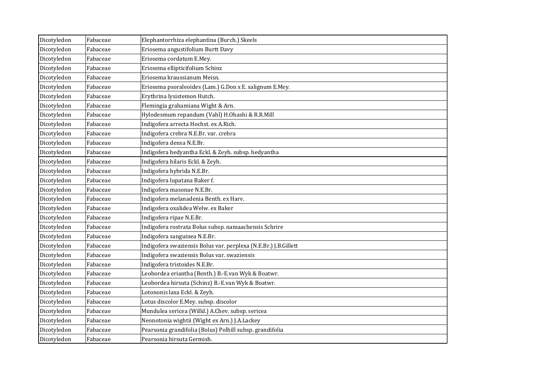| Dicotyledon | Fabaceae | Elephantorrhiza elephantina (Burch.) Skeels                     |
|-------------|----------|-----------------------------------------------------------------|
| Dicotyledon | Fabaceae | Eriosema angustifolium Burtt Davy                               |
| Dicotyledon | Fabaceae | Eriosema cordatum E.Mey.                                        |
| Dicotyledon | Fabaceae | Eriosema ellipticifolium Schinz                                 |
| Dicotyledon | Fabaceae | Eriosema kraussianum Meisn.                                     |
| Dicotyledon | Fabaceae | Eriosema psoraleoides (Lam.) G.Don x E. salignum E.Mey.         |
| Dicotyledon | Fabaceae | Erythrina lysistemon Hutch.                                     |
| Dicotyledon | Fabaceae | Flemingia grahamiana Wight & Arn.                               |
| Dicotyledon | Fabaceae | Hylodesmum repandum (Vahl) H.Ohashi & R.R.Mill                  |
| Dicotyledon | Fabaceae | Indigofera arrecta Hochst. ex A.Rich.                           |
| Dicotyledon | Fabaceae | Indigofera crebra N.E.Br. var. crebra                           |
| Dicotyledon | Fabaceae | Indigofera densa N.E.Br.                                        |
| Dicotyledon | Fabaceae | Indigofera hedyantha Eckl. & Zeyh. subsp. hedyantha             |
| Dicotyledon | Fabaceae | Indigofera hilaris Eckl. & Zeyh.                                |
| Dicotyledon | Fabaceae | Indigofera hybrida N.E.Br.                                      |
| Dicotyledon | Fabaceae | Indigofera lupatana Baker f.                                    |
| Dicotyledon | Fabaceae | Indigofera masonae N.E.Br.                                      |
| Dicotyledon | Fabaceae | Indigofera melanadenia Benth. ex Harv.                          |
| Dicotyledon | Fabaceae | Indigofera oxalidea Welw. ex Baker                              |
| Dicotyledon | Fabaceae | Indigofera ripae N.E.Br.                                        |
| Dicotyledon | Fabaceae | Indigofera rostrata Bolus subsp. namaachensis Schrire           |
| Dicotyledon | Fabaceae | Indigofera sanguinea N.E.Br.                                    |
| Dicotyledon | Fabaceae | Indigofera swaziensis Bolus var. perplexa (N.E.Br.) J.B.Gillett |
| Dicotyledon | Fabaceae | Indigofera swaziensis Bolus var. swaziensis                     |
| Dicotyledon | Fabaceae | Indigofera tristoides N.E.Br.                                   |
| Dicotyledon | Fabaceae | Leobordea eriantha (Benth.) B.-E.van Wyk & Boatwr.              |
| Dicotyledon | Fabaceae | Leobordea hirsuta (Schinz) B.-E.van Wyk & Boatwr.               |
| Dicotyledon | Fabaceae | Lotononis laxa Eckl. & Zeyh.                                    |
| Dicotyledon | Fabaceae | Lotus discolor E.Mey. subsp. discolor                           |
| Dicotyledon | Fabaceae | Mundulea sericea (Willd.) A.Chev. subsp. sericea                |
| Dicotyledon | Fabaceae | Neonotonia wightii (Wight ex Arn.) J.A.Lackey                   |
| Dicotyledon | Fabaceae | Pearsonia grandifolia (Bolus) Polhill subsp. grandifolia        |
| Dicotyledon | Fabaceae | Pearsonia hirsuta Germish.                                      |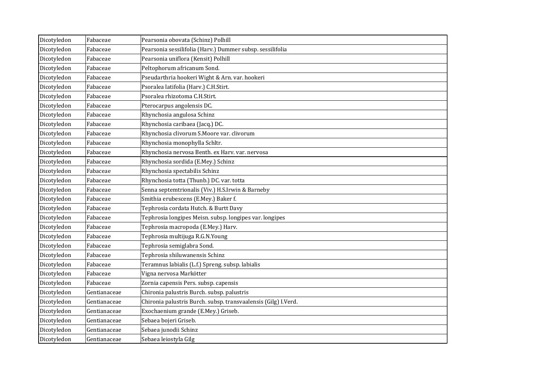| Dicotyledon | Fabaceae     | Pearsonia obovata (Schinz) Polhill                             |
|-------------|--------------|----------------------------------------------------------------|
| Dicotyledon | Fabaceae     | Pearsonia sessilifolia (Harv.) Dummer subsp. sessilifolia      |
| Dicotyledon | Fabaceae     | Pearsonia uniflora (Kensit) Polhill                            |
| Dicotyledon | Fabaceae     | Peltophorum africanum Sond.                                    |
| Dicotyledon | Fabaceae     | Pseudarthria hookeri Wight & Arn. var. hookeri                 |
| Dicotyledon | Fabaceae     | Psoralea latifolia (Harv.) C.H.Stirt.                          |
| Dicotyledon | Fabaceae     | Psoralea rhizotoma C.H.Stirt.                                  |
| Dicotyledon | Fabaceae     | Pterocarpus angolensis DC.                                     |
| Dicotyledon | Fabaceae     | Rhynchosia angulosa Schinz                                     |
| Dicotyledon | Fabaceae     | Rhynchosia caribaea (Jacq.) DC.                                |
| Dicotyledon | Fabaceae     | Rhynchosia clivorum S.Moore var. clivorum                      |
| Dicotyledon | Fabaceae     | Rhynchosia monophylla Schltr.                                  |
| Dicotyledon | Fabaceae     | Rhynchosia nervosa Benth. ex Harv. var. nervosa                |
| Dicotyledon | Fabaceae     | Rhynchosia sordida (E.Mey.) Schinz                             |
| Dicotyledon | Fabaceae     | Rhynchosia spectabilis Schinz                                  |
| Dicotyledon | Fabaceae     | Rhynchosia totta (Thunb.) DC. var. totta                       |
| Dicotyledon | Fabaceae     | Senna septemtrionalis (Viv.) H.S.Irwin & Barneby               |
| Dicotyledon | Fabaceae     | Smithia erubescens (E.Mey.) Baker f.                           |
| Dicotyledon | Fabaceae     | Tephrosia cordata Hutch. & Burtt Davy                          |
| Dicotyledon | Fabaceae     | Tephrosia longipes Meisn. subsp. longipes var. longipes        |
| Dicotyledon | Fabaceae     | Tephrosia macropoda (E.Mey.) Harv.                             |
| Dicotyledon | Fabaceae     | Tephrosia multijuga R.G.N.Young                                |
| Dicotyledon | Fabaceae     | Tephrosia semiglabra Sond.                                     |
| Dicotyledon | Fabaceae     | Tephrosia shiluwanensis Schinz                                 |
| Dicotyledon | Fabaceae     | Teramnus labialis (L.f.) Spreng. subsp. labialis               |
| Dicotyledon | Fabaceae     | Vigna nervosa Markötter                                        |
| Dicotyledon | Fabaceae     | Zornia capensis Pers. subsp. capensis                          |
| Dicotyledon | Gentianaceae | Chironia palustris Burch. subsp. palustris                     |
| Dicotyledon | Gentianaceae | Chironia palustris Burch. subsp. transvaalensis (Gilg) I.Verd. |
| Dicotyledon | Gentianaceae | Exochaenium grande (E.Mey.) Griseb.                            |
| Dicotyledon | Gentianaceae | Sebaea bojeri Griseb.                                          |
| Dicotyledon | Gentianaceae | Sebaea junodii Schinz                                          |
| Dicotyledon | Gentianaceae | Sebaea leiostyla Gilg                                          |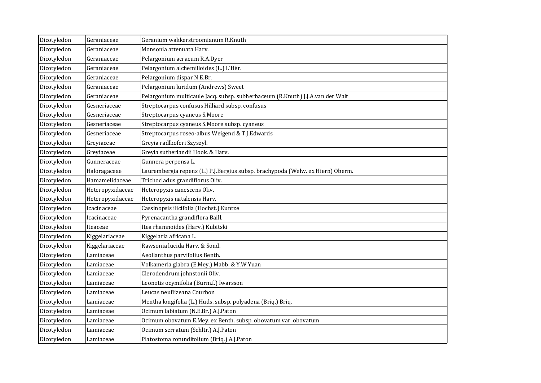| Dicotyledon | Geraniaceae      | Geranium wakkerstroomianum R.Knuth                                             |
|-------------|------------------|--------------------------------------------------------------------------------|
| Dicotyledon | Geraniaceae      | Monsonia attenuata Harv.                                                       |
| Dicotyledon | Geraniaceae      | Pelargonium acraeum R.A.Dyer                                                   |
| Dicotyledon | Geraniaceae      | Pelargonium alchemilloides (L.) L'Hér.                                         |
| Dicotyledon | Geraniaceae      | Pelargonium dispar N.E.Br.                                                     |
| Dicotyledon | Geraniaceae      | Pelargonium luridum (Andrews) Sweet                                            |
| Dicotyledon | Geraniaceae      | Pelargonium multicaule Jacq. subsp. subherbaceum (R.Knuth) J.J.A.van der Walt  |
| Dicotyledon | Gesneriaceae     | Streptocarpus confusus Hilliard subsp. confusus                                |
| Dicotyledon | Gesneriaceae     | Streptocarpus cyaneus S.Moore                                                  |
| Dicotyledon | Gesneriaceae     | Streptocarpus cyaneus S.Moore subsp. cyaneus                                   |
| Dicotyledon | Gesneriaceae     | Streptocarpus roseo-albus Weigend & T.J.Edwards                                |
| Dicotyledon | Greyiaceae       | Greyia radlkoferi Szyszyl.                                                     |
| Dicotyledon | Greyiaceae       | Greyia sutherlandii Hook. & Harv.                                              |
| Dicotyledon | Gunneraceae      | Gunnera perpensa L.                                                            |
| Dicotyledon | Haloragaceae     | Laurembergia repens (L.) P.J.Bergius subsp. brachypoda (Welw. ex Hiern) Oberm. |
| Dicotyledon | Hamamelidaceae   | Trichocladus grandiflorus Oliv.                                                |
| Dicotyledon | Heteropyxidaceae | Heteropyxis canescens Oliv.                                                    |
| Dicotyledon | Heteropyxidaceae | Heteropyxis natalensis Harv.                                                   |
| Dicotyledon | Icacinaceae      | Cassinopsis ilicifolia (Hochst.) Kuntze                                        |
| Dicotyledon | Icacinaceae      | Pyrenacantha grandiflora Baill.                                                |
| Dicotyledon | Iteaceae         | Itea rhamnoides (Harv.) Kubitski                                               |
| Dicotyledon | Kiggelariaceae   | Kiggelaria africana L.                                                         |
| Dicotyledon | Kiggelariaceae   | Rawsonia lucida Harv. & Sond.                                                  |
| Dicotyledon | Lamiaceae        | Aeollanthus parvifolius Benth.                                                 |
| Dicotyledon | Lamiaceae        | Volkameria glabra (E.Mey.) Mabb. & Y.W.Yuan                                    |
| Dicotyledon | Lamiaceae        | Clerodendrum johnstonii Oliv.                                                  |
| Dicotyledon | Lamiaceae        | Leonotis ocymifolia (Burm.f.) Iwarsson                                         |
| Dicotyledon | Lamiaceae        | Leucas neuflizeana Courbon                                                     |
| Dicotyledon | Lamiaceae        | Mentha longifolia (L.) Huds. subsp. polyadena (Briq.) Briq.                    |
| Dicotyledon | Lamiaceae        | Ocimum labiatum (N.E.Br.) A.J.Paton                                            |
| Dicotyledon | Lamiaceae        | Ocimum obovatum E.Mey. ex Benth. subsp. obovatum var. obovatum                 |
| Dicotyledon | Lamiaceae        | Ocimum serratum (Schltr.) A.J.Paton                                            |
| Dicotyledon | Lamiaceae        | Platostoma rotundifolium (Briq.) A.J.Paton                                     |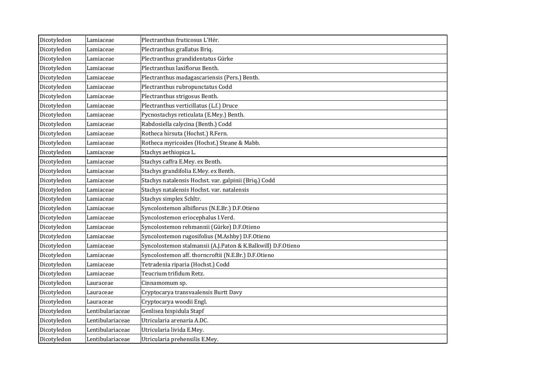| Dicotyledon | Lamiaceae        | Plectranthus fruticosus L'Hér.                               |
|-------------|------------------|--------------------------------------------------------------|
| Dicotyledon | Lamiaceae        | Plectranthus grallatus Briq.                                 |
| Dicotyledon | Lamiaceae        | Plectranthus grandidentatus Gürke                            |
| Dicotyledon | Lamiaceae        | Plectranthus laxiflorus Benth.                               |
| Dicotyledon | Lamiaceae        | Plectranthus madagascariensis (Pers.) Benth.                 |
| Dicotyledon | Lamiaceae        | Plectranthus rubropunctatus Codd                             |
| Dicotyledon | Lamiaceae        | Plectranthus strigosus Benth.                                |
| Dicotyledon | Lamiaceae        | Plectranthus verticillatus (L.f.) Druce                      |
| Dicotyledon | Lamiaceae        | Pycnostachys reticulata (E.Mey.) Benth.                      |
| Dicotyledon | Lamiaceae        | Rabdosiella calycina (Benth.) Codd                           |
| Dicotyledon | Lamiaceae        | Rotheca hirsuta (Hochst.) R.Fern.                            |
| Dicotyledon | Lamiaceae        | Rotheca myricoides (Hochst.) Steane & Mabb.                  |
| Dicotyledon | Lamiaceae        | Stachys aethiopica L.                                        |
| Dicotyledon | Lamiaceae        | Stachys caffra E.Mey. ex Benth.                              |
| Dicotyledon | Lamiaceae        | Stachys grandifolia E.Mey. ex Benth.                         |
| Dicotyledon | Lamiaceae        | Stachys natalensis Hochst. var. galpinii (Briq.) Codd        |
| Dicotyledon | Lamiaceae        | Stachys natalensis Hochst. var. natalensis                   |
| Dicotyledon | Lamiaceae        | Stachys simplex Schltr.                                      |
| Dicotyledon | Lamiaceae        | Syncolostemon albiflorus (N.E.Br.) D.F.Otieno                |
| Dicotyledon | Lamiaceae        | Syncolostemon eriocephalus I.Verd.                           |
| Dicotyledon | Lamiaceae        | Syncolostemon rehmannii (Gürke) D.F.Otieno                   |
| Dicotyledon | Lamiaceae        | Syncolostemon rugosifolius (M.Ashby) D.F.Otieno              |
| Dicotyledon | Lamiaceae        | Syncolostemon stalmansii (A.J.Paton & K.Balkwill) D.F.Otieno |
| Dicotyledon | Lamiaceae        | Syncolostemon aff. thorncroftii (N.E.Br.) D.F.Otieno         |
| Dicotyledon | Lamiaceae        | Tetradenia riparia (Hochst.) Codd                            |
| Dicotyledon | Lamiaceae        | Teucrium trifidum Retz.                                      |
| Dicotyledon | Lauraceae        | Cinnamomum sp.                                               |
| Dicotyledon | Lauraceae        | Cryptocarya transvaalensis Burtt Davy                        |
| Dicotyledon | Lauraceae        | Cryptocarya woodii Engl.                                     |
| Dicotyledon | Lentibulariaceae | Genlisea hispidula Stapf                                     |
| Dicotyledon | Lentibulariaceae | Utricularia arenaria A.DC.                                   |
| Dicotyledon | Lentibulariaceae | Utricularia livida E.Mey.                                    |
| Dicotyledon | Lentibulariaceae | Utricularia prehensilis E.Mey.                               |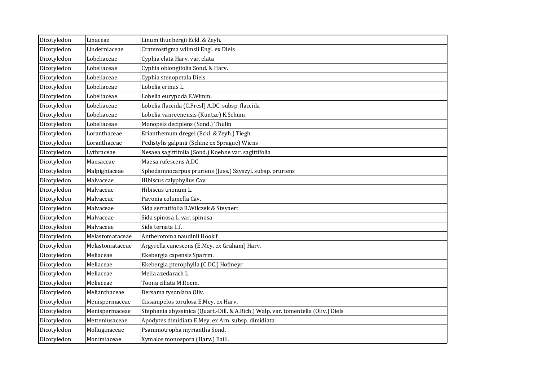| Dicotyledon | Linaceae        | Linum thunbergii Eckl. & Zeyh.                                                    |
|-------------|-----------------|-----------------------------------------------------------------------------------|
| Dicotyledon | Linderniaceae   | Craterostigma wilmsii Engl. ex Diels                                              |
| Dicotyledon | Lobeliaceae     | Cyphia elata Harv. var. elata                                                     |
| Dicotyledon | Lobeliaceae     | Cyphia oblongifolia Sond. & Harv.                                                 |
| Dicotyledon | Lobeliaceae     | Cyphia stenopetala Diels                                                          |
| Dicotyledon | Lobeliaceae     | Lobelia erinus L.                                                                 |
| Dicotyledon | Lobeliaceae     | Lobelia eurypoda E.Wimm.                                                          |
| Dicotyledon | Lobeliaceae     | Lobelia flaccida (C.Presl) A.DC. subsp. flaccida                                  |
| Dicotyledon | Lobeliaceae     | Lobelia vanreenensis (Kuntze) K.Schum.                                            |
| Dicotyledon | Lobeliaceae     | Monopsis decipiens (Sond.) Thulin                                                 |
| Dicotyledon | Loranthaceae    | Erianthemum dregei (Eckl. & Zeyh.) Tiegh.                                         |
| Dicotyledon | Loranthaceae    | Pedistylis galpinii (Schinz ex Sprague) Wiens                                     |
| Dicotyledon | Lythraceae      | Nesaea sagittifolia (Sond.) Koehne var. sagittifolia                              |
| Dicotyledon | Maesaceae       | Maesa rufescens A.DC.                                                             |
| Dicotyledon | Malpighiaceae   | Sphedamnocarpus pruriens (Juss.) Szyszyl. subsp. pruriens                         |
| Dicotyledon | Malvaceae       | Hibiscus calyphyllus Cav.                                                         |
| Dicotyledon | Malvaceae       | Hibiscus trionum L.                                                               |
| Dicotyledon | Malvaceae       | Pavonia columella Cav.                                                            |
| Dicotyledon | Malvaceae       | Sida serratifolia R. Wilczek & Steyaert                                           |
| Dicotyledon | Malvaceae       | Sida spinosa L. var. spinosa                                                      |
| Dicotyledon | Malvaceae       | Sida ternata L.f.                                                                 |
| Dicotyledon | Melastomataceae | Antherotoma naudinii Hook.f.                                                      |
| Dicotyledon | Melastomataceae | Argyrella canescens (E.Mey. ex Graham) Harv.                                      |
| Dicotyledon | Meliaceae       | Ekebergia capensis Sparrm.                                                        |
| Dicotyledon | Meliaceae       | Ekebergia pterophylla (C.DC.) Hofmeyr                                             |
| Dicotyledon | Meliaceae       | Melia azedarach L.                                                                |
| Dicotyledon | Meliaceae       | Toona ciliata M.Roem.                                                             |
| Dicotyledon | Melianthaceae   | Bersama tysoniana Oliv.                                                           |
| Dicotyledon | Menispermaceae  | Cissampelos torulosa E.Mey. ex Harv.                                              |
| Dicotyledon | Menispermaceae  | Stephania abyssinica (Quart.-Dill. & A.Rich.) Walp. var. tomentella (Oliv.) Diels |
| Dicotyledon | Metteniusaceae  | Apodytes dimidiata E.Mey. ex Arn. subsp. dimidiata                                |
| Dicotyledon | Molluginaceae   | Psammotropha myriantha Sond.                                                      |
| Dicotyledon | Monimiaceae     | Xymalos monospora (Harv.) Baill.                                                  |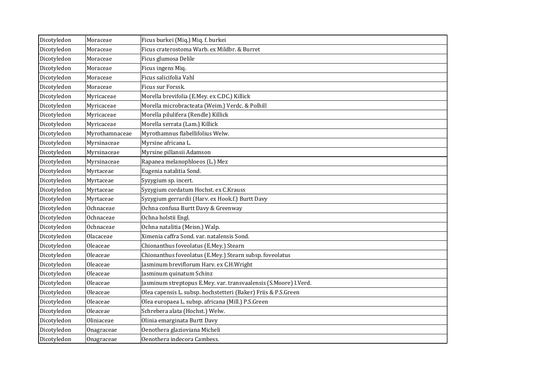| Dicotyledon | Moraceae       | Ficus burkei (Miq.) Miq. f. burkei                               |
|-------------|----------------|------------------------------------------------------------------|
| Dicotyledon | Moraceae       | Ficus craterostoma Warb. ex Mildbr. & Burret                     |
| Dicotyledon | Moraceae       | Ficus glumosa Delile                                             |
| Dicotyledon | Moraceae       | Ficus ingens Miq.                                                |
| Dicotyledon | Moraceae       | Ficus salicifolia Vahl                                           |
| Dicotyledon | Moraceae       | Ficus sur Forssk.                                                |
| Dicotyledon | Myricaceae     | Morella brevifolia (E.Mey. ex C.DC.) Killick                     |
| Dicotyledon | Myricaceae     | Morella microbracteata (Weim.) Verdc. & Polhill                  |
| Dicotyledon | Myricaceae     | Morella pilulifera (Rendle) Killick                              |
| Dicotyledon | Myricaceae     | Morella serrata (Lam.) Killick                                   |
| Dicotyledon | Myrothamnaceae | Myrothamnus flabellifolius Welw.                                 |
| Dicotyledon | Myrsinaceae    | Myrsine africana L.                                              |
| Dicotyledon | Myrsinaceae    | Myrsine pillansii Adamson                                        |
| Dicotyledon | Myrsinaceae    | Rapanea melanophloeos (L.) Mez                                   |
| Dicotyledon | Myrtaceae      | Eugenia natalitia Sond.                                          |
| Dicotyledon | Myrtaceae      | Syzygium sp. incert.                                             |
| Dicotyledon | Myrtaceae      | Syzygium cordatum Hochst. ex C.Krauss                            |
| Dicotyledon | Myrtaceae      | Syzygium gerrardii (Harv. ex Hook.f.) Burtt Davy                 |
| Dicotyledon | Ochnaceae      | Ochna confusa Burtt Davy & Greenway                              |
| Dicotyledon | Ochnaceae      | Ochna holstii Engl.                                              |
| Dicotyledon | Ochnaceae      | Ochna natalitia (Meisn.) Walp.                                   |
| Dicotyledon | Olacaceae      | Ximenia caffra Sond. var. natalensis Sond.                       |
| Dicotyledon | Oleaceae       | Chionanthus foveolatus (E.Mey.) Stearn                           |
| Dicotyledon | Oleaceae       | Chionanthus foveolatus (E.Mey.) Stearn subsp. foveolatus         |
| Dicotyledon | Oleaceae       | Jasminum breviflorum Harv. ex C.H.Wright                         |
| Dicotyledon | Oleaceae       | Jasminum quinatum Schinz                                         |
| Dicotyledon | Oleaceae       | Jasminum streptopus E.Mey. var. transvaalensis (S.Moore) I.Verd. |
| Dicotyledon | Oleaceae       | Olea capensis L. subsp. hochstetteri (Baker) Friis & P.S.Green   |
| Dicotyledon | Oleaceae       | Olea europaea L. subsp. africana (Mill.) P.S.Green               |
| Dicotyledon | Oleaceae       | Schrebera alata (Hochst.) Welw.                                  |
| Dicotyledon | Oliniaceae     | Olinia emarginata Burtt Davy                                     |
| Dicotyledon | Onagraceae     | Oenothera glazioviana Micheli                                    |
| Dicotyledon | Onagraceae     | Oenothera indecora Cambess.                                      |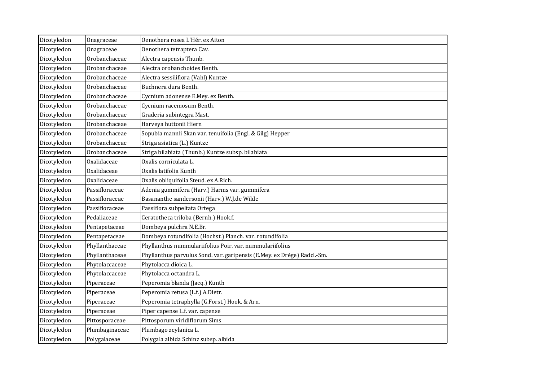| Dicotyledon | Onagraceae     | Oenothera rosea L'Hér. ex Aiton                                         |
|-------------|----------------|-------------------------------------------------------------------------|
| Dicotyledon | Onagraceae     | Oenothera tetraptera Cav.                                               |
| Dicotyledon | Orobanchaceae  | Alectra capensis Thunb.                                                 |
| Dicotyledon | Orobanchaceae  | Alectra orobanchoides Benth.                                            |
| Dicotyledon | Orobanchaceae  | Alectra sessiliflora (Vahl) Kuntze                                      |
| Dicotyledon | Orobanchaceae  | Buchnera dura Benth.                                                    |
| Dicotyledon | Orobanchaceae  | Cycnium adonense E.Mey. ex Benth.                                       |
| Dicotyledon | Orobanchaceae  | Cycnium racemosum Benth.                                                |
| Dicotyledon | Orobanchaceae  | Graderia subintegra Mast.                                               |
| Dicotyledon | Orobanchaceae  | Harveya huttonii Hiern                                                  |
| Dicotyledon | Orobanchaceae  | Sopubia mannii Skan var. tenuifolia (Engl. & Gilg) Hepper               |
| Dicotyledon | Orobanchaceae  | Striga asiatica (L.) Kuntze                                             |
| Dicotyledon | Orobanchaceae  | Striga bilabiata (Thunb.) Kuntze subsp. bilabiata                       |
| Dicotyledon | Oxalidaceae    | Oxalis corniculata L.                                                   |
| Dicotyledon | Oxalidaceae    | Oxalis latifolia Kunth                                                  |
| Dicotyledon | Oxalidaceae    | Oxalis obliquifolia Steud. ex A.Rich.                                   |
| Dicotyledon | Passifloraceae | Adenia gummifera (Harv.) Harms var. gummifera                           |
| Dicotyledon | Passifloraceae | Basananthe sandersonii (Harv.) W.J.de Wilde                             |
| Dicotyledon | Passifloraceae | Passiflora subpeltata Ortega                                            |
| Dicotyledon | Pedaliaceae    | Ceratotheca triloba (Bernh.) Hook.f.                                    |
| Dicotyledon | Pentapetaceae  | Dombeya pulchra N.E.Br.                                                 |
| Dicotyledon | Pentapetaceae  | Dombeya rotundifolia (Hochst.) Planch. var. rotundifolia                |
| Dicotyledon | Phyllanthaceae | Phyllanthus nummulariifolius Poir. var. nummulariifolius                |
| Dicotyledon | Phyllanthaceae | Phyllanthus parvulus Sond. var. garipensis (E.Mey. ex Drège) Radcl.-Sm. |
| Dicotyledon | Phytolaccaceae | Phytolacca dioica L.                                                    |
| Dicotyledon | Phytolaccaceae | Phytolacca octandra L.                                                  |
| Dicotyledon | Piperaceae     | Peperomia blanda (Jacq.) Kunth                                          |
| Dicotyledon | Piperaceae     | Peperomia retusa (L.f.) A.Dietr.                                        |
| Dicotyledon | Piperaceae     | Peperomia tetraphylla (G.Forst.) Hook. & Arn.                           |
| Dicotyledon | Piperaceae     | Piper capense L.f. var. capense                                         |
| Dicotyledon | Pittosporaceae | Pittosporum viridiflorum Sims                                           |
| Dicotyledon | Plumbaginaceae | Plumbago zeylanica L.                                                   |
| Dicotyledon | Polygalaceae   | Polygala albida Schinz subsp. albida                                    |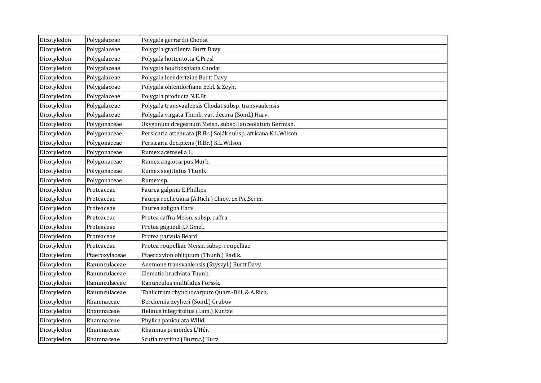| Dicotyledon | Polygalaceae   | Polygala gerrardii Chodat                                     |
|-------------|----------------|---------------------------------------------------------------|
| Dicotyledon | Polygalaceae   | Polygala gracilenta Burtt Davy                                |
| Dicotyledon | Polygalaceae   | Polygala hottentotta C.Presl                                  |
| Dicotyledon | Polygalaceae   | Polygala houtboshiana Chodat                                  |
| Dicotyledon | Polygalaceae   | Polygala leendertziae Burtt Davy                              |
| Dicotyledon | Polygalaceae   | Polygala ohlendorfiana Eckl. & Zeyh.                          |
| Dicotyledon | Polygalaceae   | Polygala producta N.E.Br.                                     |
| Dicotyledon | Polygalaceae   | Polygala transvaalensis Chodat subsp. transvaalensis          |
| Dicotyledon | Polygalaceae   | Polygala virgata Thunb. var. decora (Sond.) Harv.             |
| Dicotyledon | Polygonaceae   | Oxygonum dregeanum Meisn. subsp. lanceolatum Germish.         |
| Dicotyledon | Polygonaceae   | Persicaria attenuata (R.Br.) Soják subsp. africana K.L.Wilson |
| Dicotyledon | Polygonaceae   | Persicaria decipiens (R.Br.) K.L.Wilson                       |
| Dicotyledon | Polygonaceae   | Rumex acetosella L.                                           |
| Dicotyledon | Polygonaceae   | Rumex angiocarpus Murb.                                       |
| Dicotyledon | Polygonaceae   | Rumex sagittatus Thunb.                                       |
| Dicotyledon | Polygonaceae   | Rumex sp.                                                     |
| Dicotyledon | Proteaceae     | Faurea galpinii E.Phillips                                    |
| Dicotyledon | Proteaceae     | Faurea rochetiana (A.Rich.) Chiov. ex Pic.Serm.               |
| Dicotyledon | Proteaceae     | Faurea saligna Harv.                                          |
| Dicotyledon | Proteaceae     | Protea caffra Meisn. subsp. caffra                            |
| Dicotyledon | Proteaceae     | Protea gaguedi J.F.Gmel.                                      |
| Dicotyledon | Proteaceae     | Protea parvula Beard                                          |
| Dicotyledon | Proteaceae     | Protea roupelliae Meisn. subsp. roupelliae                    |
| Dicotyledon | Ptaeroxylaceae | Ptaeroxylon obliquum (Thunb.) Radlk.                          |
| Dicotyledon | Ranunculaceae  | Anemone transvaalensis (Szyszyl.) Burtt Davy                  |
| Dicotyledon | Ranunculaceae  | Clematis brachiata Thunb.                                     |
| Dicotyledon | Ranunculaceae  | Ranunculus multifidus Forssk.                                 |
| Dicotyledon | Ranunculaceae  | Thalictrum rhynchocarpum Quart.-Dill. & A.Rich.               |
| Dicotyledon | Rhamnaceae     | Berchemia zeyheri (Sond.) Grubov                              |
| Dicotyledon | Rhamnaceae     | Helinus integrifolius (Lam.) Kuntze                           |
| Dicotyledon | Rhamnaceae     | Phylica paniculata Willd.                                     |
| Dicotyledon | Rhamnaceae     | Rhamnus prinoides L'Hér.                                      |
| Dicotyledon | Rhamnaceae     | Scutia myrtina (Burm.f.) Kurz                                 |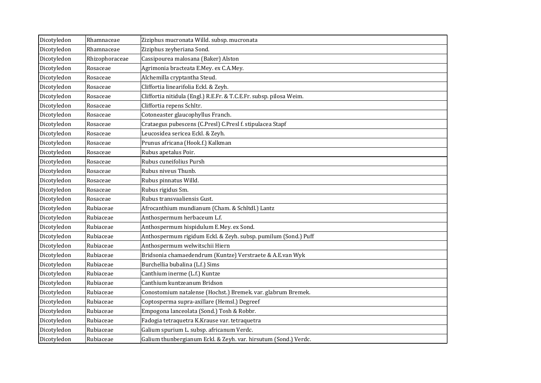| Dicotyledon | Rhamnaceae     | Ziziphus mucronata Willd. subsp. mucronata                          |
|-------------|----------------|---------------------------------------------------------------------|
| Dicotyledon | Rhamnaceae     | Ziziphus zeyheriana Sond.                                           |
| Dicotyledon | Rhizophoraceae | Cassipourea malosana (Baker) Alston                                 |
| Dicotyledon | Rosaceae       | Agrimonia bracteata E.Mey. ex C.A.Mey.                              |
| Dicotyledon | Rosaceae       | Alchemilla cryptantha Steud.                                        |
| Dicotyledon | Rosaceae       | Cliffortia linearifolia Eckl. & Zeyh.                               |
| Dicotyledon | Rosaceae       | Cliffortia nitidula (Engl.) R.E.Fr. & T.C.E.Fr. subsp. pilosa Weim. |
| Dicotyledon | Rosaceae       | Cliffortia repens Schltr.                                           |
| Dicotyledon | Rosaceae       | Cotoneaster glaucophyllus Franch.                                   |
| Dicotyledon | Rosaceae       | Crataegus pubescens (C.Presl) C.Presl f. stipulacea Stapf           |
| Dicotyledon | Rosaceae       | Leucosidea sericea Eckl. & Zeyh.                                    |
| Dicotyledon | Rosaceae       | Prunus africana (Hook.f.) Kalkman                                   |
| Dicotyledon | Rosaceae       | Rubus apetalus Poir.                                                |
| Dicotyledon | Rosaceae       | Rubus cuneifolius Pursh                                             |
| Dicotyledon | Rosaceae       | Rubus niveus Thunb.                                                 |
| Dicotyledon | Rosaceae       | Rubus pinnatus Willd.                                               |
| Dicotyledon | Rosaceae       | Rubus rigidus Sm.                                                   |
| Dicotyledon | Rosaceae       | Rubus transvaaliensis Gust.                                         |
| Dicotyledon | Rubiaceae      | Afrocanthium mundianum (Cham. & Schltdl.) Lantz                     |
| Dicotyledon | Rubiaceae      | Anthospermum herbaceum L.f.                                         |
| Dicotyledon | Rubiaceae      | Anthospermum hispidulum E.Mey. ex Sond.                             |
| Dicotyledon | Rubiaceae      | Anthospermum rigidum Eckl. & Zeyh. subsp. pumilum (Sond.) Puff      |
| Dicotyledon | Rubiaceae      | Anthospermum welwitschii Hiern                                      |
| Dicotyledon | Rubiaceae      | Bridsonia chamaedendrum (Kuntze) Verstraete & A.E.van Wyk           |
| Dicotyledon | Rubiaceae      | Burchellia bubalina (L.f.) Sims                                     |
| Dicotyledon | Rubiaceae      | Canthium inerme (L.f.) Kuntze                                       |
| Dicotyledon | Rubiaceae      | Canthium kuntzeanum Bridson                                         |
| Dicotyledon | Rubiaceae      | Conostomium natalense (Hochst.) Bremek. var. glabrum Bremek.        |
| Dicotyledon | Rubiaceae      | Coptosperma supra-axillare (Hemsl.) Degreef                         |
| Dicotyledon | Rubiaceae      | Empogona lanceolata (Sond.) Tosh & Robbr.                           |
| Dicotyledon | Rubiaceae      | Fadogia tetraquetra K.Krause var. tetraquetra                       |
| Dicotyledon | Rubiaceae      | Galium spurium L. subsp. africanum Verdc.                           |
| Dicotyledon | Rubiaceae      | Galium thunbergianum Eckl. & Zeyh. var. hirsutum (Sond.) Verdc.     |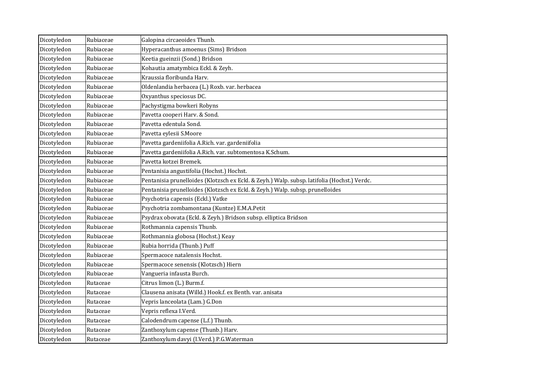| Dicotyledon | Rubiaceae | Galopina circaeoides Thunb.                                                                 |
|-------------|-----------|---------------------------------------------------------------------------------------------|
| Dicotyledon | Rubiaceae | Hyperacanthus amoenus (Sims) Bridson                                                        |
| Dicotyledon | Rubiaceae | Keetia gueinzii (Sond.) Bridson                                                             |
| Dicotyledon | Rubiaceae | Kohautia amatymbica Eckl. & Zeyh.                                                           |
| Dicotyledon | Rubiaceae | Kraussia floribunda Harv.                                                                   |
| Dicotyledon | Rubiaceae | Oldenlandia herbacea (L.) Roxb. var. herbacea                                               |
| Dicotyledon | Rubiaceae | Oxyanthus speciosus DC.                                                                     |
| Dicotyledon | Rubiaceae | Pachystigma bowkeri Robyns                                                                  |
| Dicotyledon | Rubiaceae | Pavetta cooperi Harv. & Sond.                                                               |
| Dicotyledon | Rubiaceae | Pavetta edentula Sond.                                                                      |
| Dicotyledon | Rubiaceae | Pavetta eylesii S.Moore                                                                     |
| Dicotyledon | Rubiaceae | Pavetta gardeniifolia A.Rich. var. gardeniifolia                                            |
| Dicotyledon | Rubiaceae | Pavetta gardeniifolia A.Rich. var. subtomentosa K.Schum.                                    |
| Dicotyledon | Rubiaceae | Pavetta kotzei Bremek.                                                                      |
| Dicotyledon | Rubiaceae | Pentanisia angustifolia (Hochst.) Hochst.                                                   |
| Dicotyledon | Rubiaceae | Pentanisia prunelloides (Klotzsch ex Eckl. & Zeyh.) Walp. subsp. latifolia (Hochst.) Verdc. |
| Dicotyledon | Rubiaceae | Pentanisia prunelloides (Klotzsch ex Eckl. & Zeyh.) Walp. subsp. prunelloides               |
| Dicotyledon | Rubiaceae | Psychotria capensis (Eckl.) Vatke                                                           |
| Dicotyledon | Rubiaceae | Psychotria zombamontana (Kuntze) E.M.A.Petit                                                |
| Dicotyledon | Rubiaceae | Psydrax obovata (Eckl. & Zeyh.) Bridson subsp. elliptica Bridson                            |
| Dicotyledon | Rubiaceae | Rothmannia capensis Thunb.                                                                  |
| Dicotyledon | Rubiaceae | Rothmannia globosa (Hochst.) Keay                                                           |
| Dicotyledon | Rubiaceae | Rubia horrida (Thunb.) Puff                                                                 |
| Dicotyledon | Rubiaceae | Spermacoce natalensis Hochst.                                                               |
| Dicotyledon | Rubiaceae | Spermacoce senensis (Klotzsch) Hiern                                                        |
| Dicotyledon | Rubiaceae | Vangueria infausta Burch.                                                                   |
| Dicotyledon | Rutaceae  | Citrus limon (L.) Burm.f.                                                                   |
| Dicotyledon | Rutaceae  | Clausena anisata (Willd.) Hook.f. ex Benth. var. anisata                                    |
| Dicotyledon | Rutaceae  | Vepris lanceolata (Lam.) G.Don                                                              |
| Dicotyledon | Rutaceae  | Vepris reflexa I.Verd.                                                                      |
| Dicotyledon | Rutaceae  | Calodendrum capense (L.f.) Thunb.                                                           |
| Dicotyledon | Rutaceae  | Zanthoxylum capense (Thunb.) Harv.                                                          |
| Dicotyledon | Rutaceae  | Zanthoxylum davyi (I.Verd.) P.G.Waterman                                                    |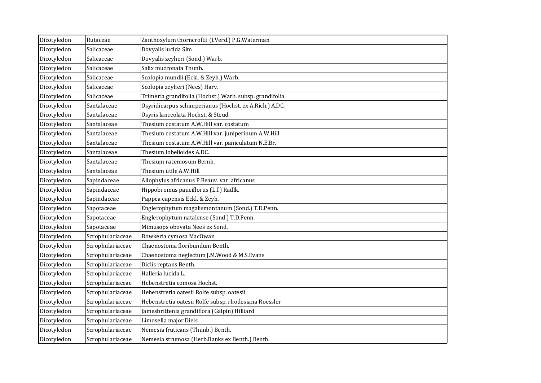| Dicotyledon | Rutaceae         | Zanthoxylum thorncroftii (I.Verd.) P.G.Waterman         |
|-------------|------------------|---------------------------------------------------------|
| Dicotyledon | Salicaceae       | Dovyalis lucida Sim                                     |
| Dicotyledon | Salicaceae       | Dovyalis zeyheri (Sond.) Warb.                          |
| Dicotyledon | Salicaceae       | Salix mucronata Thunb.                                  |
| Dicotyledon | Salicaceae       | Scolopia mundii (Eckl. & Zeyh.) Warb.                   |
| Dicotyledon | Salicaceae       | Scolopia zeyheri (Nees) Harv.                           |
| Dicotyledon | Salicaceae       | Trimeria grandifolia (Hochst.) Warb. subsp. grandifolia |
| Dicotyledon | Santalaceae      | Osyridicarpus schimperianus (Hochst. ex A.Rich.) A.DC.  |
| Dicotyledon | Santalaceae      | Osyris lanceolata Hochst. & Steud.                      |
| Dicotyledon | Santalaceae      | Thesium costatum A.W.Hill var. costatum                 |
| Dicotyledon | Santalaceae      | Thesium costatum A.W.Hill var. juniperinum A.W.Hill     |
| Dicotyledon | Santalaceae      | Thesium costatum A.W.Hill var. paniculatum N.E.Br.      |
| Dicotyledon | Santalaceae      | Thesium lobelioides A.DC.                               |
| Dicotyledon | Santalaceae      | Thesium racemosum Bernh.                                |
| Dicotyledon | Santalaceae      | Thesium utile A.W.Hill                                  |
| Dicotyledon | Sapindaceae      | Allophylus africanus P.Beauv. var. africanus            |
| Dicotyledon | Sapindaceae      | Hippobromus pauciflorus (L.f.) Radlk.                   |
| Dicotyledon | Sapindaceae      | Pappea capensis Eckl. & Zeyh.                           |
| Dicotyledon | Sapotaceae       | Englerophytum magalismontanum (Sond.) T.D.Penn.         |
| Dicotyledon | Sapotaceae       | Englerophytum natalense (Sond.) T.D.Penn.               |
| Dicotyledon | Sapotaceae       | Mimusops obovata Nees ex Sond.                          |
| Dicotyledon | Scrophulariaceae | Bowkeria cymosa MacOwan                                 |
| Dicotyledon | Scrophulariaceae | Chaenostoma floribundum Benth.                          |
| Dicotyledon | Scrophulariaceae | Chaenostoma neglectum J.M.Wood & M.S.Evans              |
| Dicotyledon | Scrophulariaceae | Diclis reptans Benth.                                   |
| Dicotyledon | Scrophulariaceae | Halleria lucida L.                                      |
| Dicotyledon | Scrophulariaceae | Hebenstretia comosa Hochst.                             |
| Dicotyledon | Scrophulariaceae | Hebenstretia oatesii Rolfe subsp. oatesii               |
| Dicotyledon | Scrophulariaceae | Hebenstretia oatesii Rolfe subsp. rhodesiana Roessler   |
| Dicotyledon | Scrophulariaceae | Jamesbrittenia grandiflora (Galpin) Hilliard            |
| Dicotyledon | Scrophulariaceae | Limosella major Diels                                   |
| Dicotyledon | Scrophulariaceae | Nemesia fruticans (Thunb.) Benth.                       |
| Dicotyledon | Scrophulariaceae | Nemesia strumosa (Herb.Banks ex Benth.) Benth.          |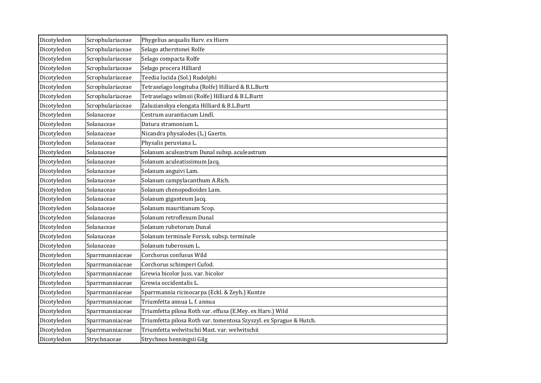| Dicotyledon | Scrophulariaceae | Phygelius aequalis Harv. ex Hiern                                  |
|-------------|------------------|--------------------------------------------------------------------|
| Dicotyledon | Scrophulariaceae | Selago atherstonei Rolfe                                           |
| Dicotyledon | Scrophulariaceae | Selago compacta Rolfe                                              |
| Dicotyledon | Scrophulariaceae | Selago procera Hilliard                                            |
| Dicotyledon | Scrophulariaceae | Teedia lucida (Sol.) Rudolphi                                      |
| Dicotyledon | Scrophulariaceae | Tetraselago longituba (Rolfe) Hilliard & B.L.Burtt                 |
| Dicotyledon | Scrophulariaceae | Tetraselago wilmsii (Rolfe) Hilliard & B.L.Burtt                   |
| Dicotyledon | Scrophulariaceae | Zaluzianskya elongata Hilliard & B.L.Burtt                         |
| Dicotyledon | Solanaceae       | Cestrum aurantiacum Lindl.                                         |
| Dicotyledon | Solanaceae       | Datura stramonium L.                                               |
| Dicotyledon | Solanaceae       | Nicandra physalodes (L.) Gaertn.                                   |
| Dicotyledon | Solanaceae       | Physalis peruviana L.                                              |
| Dicotyledon | Solanaceae       | Solanum aculeastrum Dunal subsp. aculeastrum                       |
| Dicotyledon | Solanaceae       | Solanum aculeatissimum Jacq.                                       |
| Dicotyledon | Solanaceae       | Solanum anguivi Lam.                                               |
| Dicotyledon | Solanaceae       | Solanum campylacanthum A.Rich.                                     |
| Dicotyledon | Solanaceae       | Solanum chenopodioides Lam.                                        |
| Dicotyledon | Solanaceae       | Solanum giganteum Jacq.                                            |
| Dicotyledon | Solanaceae       | Solanum mauritianum Scop.                                          |
| Dicotyledon | Solanaceae       | Solanum retroflexum Dunal                                          |
| Dicotyledon | Solanaceae       | Solanum rubetorum Dunal                                            |
| Dicotyledon | Solanaceae       | Solanum terminale Forssk. subsp. terminale                         |
| Dicotyledon | Solanaceae       | Solanum tuberosum L.                                               |
| Dicotyledon | Sparrmanniaceae  | Corchorus confusus Wild                                            |
| Dicotyledon | Sparrmanniaceae  | Corchorus schimperi Cufod.                                         |
| Dicotyledon | Sparrmanniaceae  | Grewia bicolor Juss. var. bicolor                                  |
| Dicotyledon | Sparrmanniaceae  | Grewia occidentalis L.                                             |
| Dicotyledon | Sparrmanniaceae  | Sparrmannia ricinocarpa (Eckl. & Zeyh.) Kuntze                     |
| Dicotyledon | Sparrmanniaceae  | Triumfetta annua L. f. annua                                       |
| Dicotyledon | Sparrmanniaceae  | Triumfetta pilosa Roth var. effusa (E.Mey. ex Harv.) Wild          |
| Dicotyledon | Sparrmanniaceae  | Triumfetta pilosa Roth var. tomentosa Szyszyl. ex Sprague & Hutch. |
| Dicotyledon | Sparrmanniaceae  | Triumfetta welwitschii Mast. var. welwitschii                      |
| Dicotyledon | Strychnaceae     | Strychnos henningsii Gilg                                          |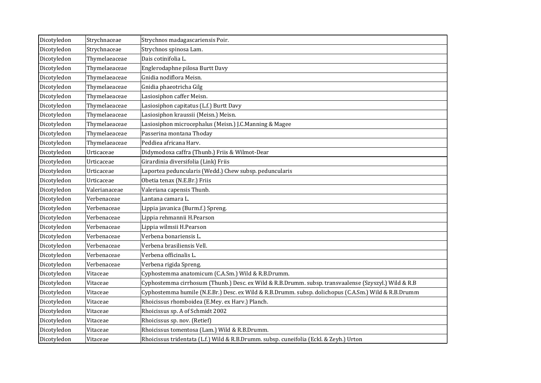| Dicotyledon | Strychnaceae  | Strychnos madagascariensis Poir.                                                                     |
|-------------|---------------|------------------------------------------------------------------------------------------------------|
| Dicotyledon | Strychnaceae  | Strychnos spinosa Lam.                                                                               |
| Dicotyledon | Thymelaeaceae | Dais cotinifolia L.                                                                                  |
| Dicotyledon | Thymelaeaceae | Englerodaphne pilosa Burtt Davy                                                                      |
| Dicotyledon | Thymelaeaceae | Gnidia nodiflora Meisn.                                                                              |
| Dicotyledon | Thymelaeaceae | Gnidia phaeotricha Gilg                                                                              |
| Dicotyledon | Thymelaeaceae | Lasiosiphon caffer Meisn.                                                                            |
| Dicotyledon | Thymelaeaceae | Lasiosiphon capitatus (L.f.) Burtt Davy                                                              |
| Dicotyledon | Thymelaeaceae | Lasiosiphon kraussii (Meisn.) Meisn.                                                                 |
| Dicotyledon | Thymelaeaceae | Lasiosiphon microcephalus (Meisn.) J.C.Manning & Magee                                               |
| Dicotyledon | Thymelaeaceae | Passerina montana Thoday                                                                             |
| Dicotyledon | Thymelaeaceae | Peddiea africana Harv.                                                                               |
| Dicotyledon | Urticaceae    | Didymodoxa caffra (Thunb.) Friis & Wilmot-Dear                                                       |
| Dicotyledon | Urticaceae    | Girardinia diversifolia (Link) Friis                                                                 |
| Dicotyledon | Urticaceae    | Laportea peduncularis (Wedd.) Chew subsp. peduncularis                                               |
| Dicotyledon | Urticaceae    | Obetia tenax (N.E.Br.) Friis                                                                         |
| Dicotyledon | Valerianaceae | Valeriana capensis Thunb.                                                                            |
| Dicotyledon | Verbenaceae   | Lantana camara L.                                                                                    |
| Dicotyledon | Verbenaceae   | Lippia javanica (Burm.f.) Spreng.                                                                    |
| Dicotyledon | Verbenaceae   | Lippia rehmannii H.Pearson                                                                           |
| Dicotyledon | Verbenaceae   | Lippia wilmsii H.Pearson                                                                             |
| Dicotyledon | Verbenaceae   | Verbena bonariensis L.                                                                               |
| Dicotyledon | Verbenaceae   | Verbena brasiliensis Vell.                                                                           |
| Dicotyledon | Verbenaceae   | Verbena officinalis L.                                                                               |
| Dicotyledon | Verbenaceae   | Verbena rigida Spreng.                                                                               |
| Dicotyledon | Vitaceae      | Cyphostemma anatomicum (C.A.Sm.) Wild & R.B.Drumm.                                                   |
| Dicotyledon | Vitaceae      | Cyphostemma cirrhosum (Thunb.) Desc. ex Wild & R.B.Drumm. subsp. transvaalense (Szyszyl.) Wild & R.B |
| Dicotyledon | Vitaceae      | Cyphostemma humile (N.E.Br.) Desc. ex Wild & R.B.Drumm. subsp. dolichopus (C.A.Sm.) Wild & R.B.Drumm |
| Dicotyledon | Vitaceae      | Rhoicissus rhomboidea (E.Mey. ex Harv.) Planch.                                                      |
| Dicotyledon | Vitaceae      | Rhoicissus sp. A of Schmidt 2002                                                                     |
| Dicotyledon | Vitaceae      | Rhoicissus sp. nov. (Retief)                                                                         |
| Dicotyledon | Vitaceae      | Rhoicissus tomentosa (Lam.) Wild & R.B.Drumm.                                                        |
| Dicotyledon | Vitaceae      | Rhoicissus tridentata (L.f.) Wild & R.B.Drumm. subsp. cuneifolia (Eckl. & Zeyh.) Urton               |